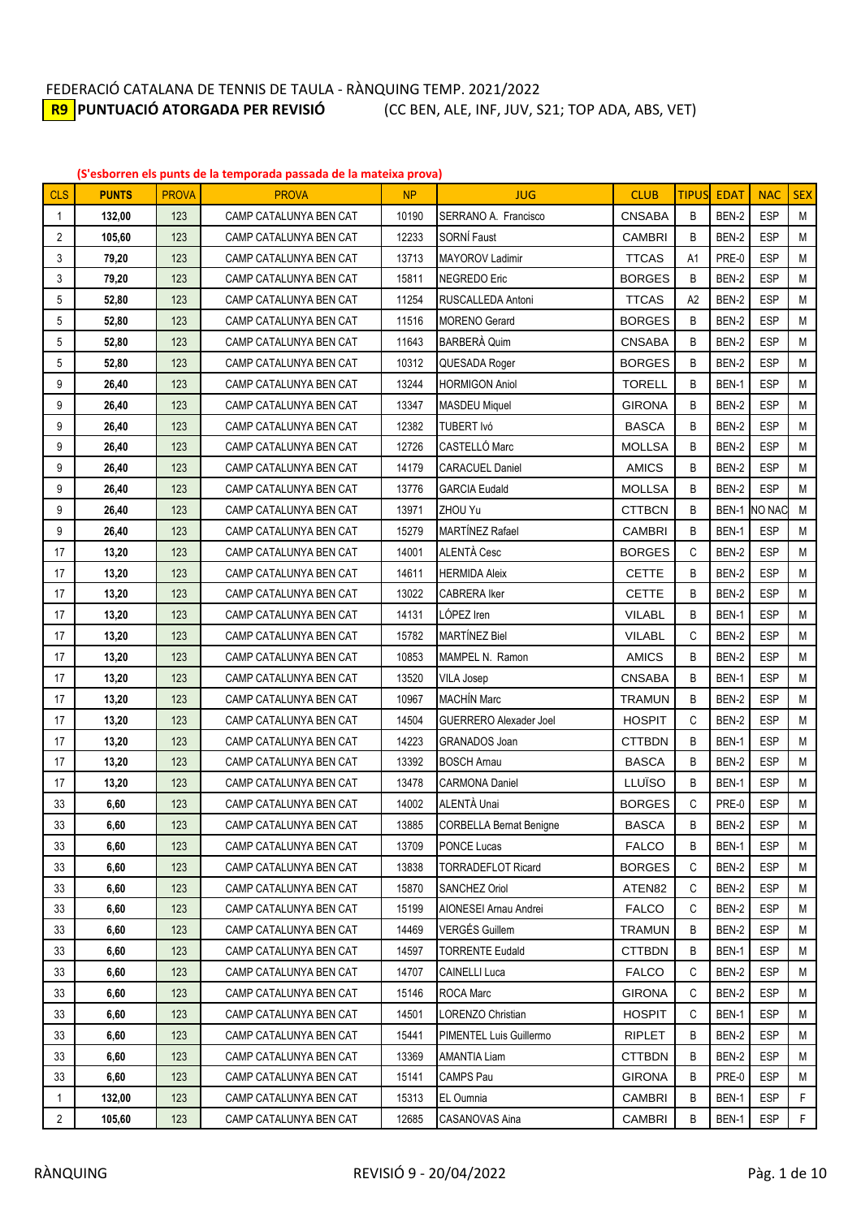## FEDERACIÓ CATALANA DE TENNIS DE TAULA - RÀNQUING TEMP. 2021/2022<br><mark>R9 </mark>PUNTUACIÓ ATORGADA PER REVISIÓ (CC BEN, ALE, INF, JUV, S **(CC BEN, ALE, INF, JUV, S21; TOP ADA, ABS, VET)**

**(S'esborren els punts de la temporada passada de la mateixa prova)**

| <b>CLS</b>     | <b>PUNTS</b> | <b>PROVA</b> | <b>PROVA</b>           | <b>NP</b> | <b>JUG</b>                     | <b>CLUB</b>   | <b>TIPUS</b>   | <b>EDAT</b> | <b>NAC</b>          | <b>SEX</b> |
|----------------|--------------|--------------|------------------------|-----------|--------------------------------|---------------|----------------|-------------|---------------------|------------|
| $\mathbf{1}$   | 132,00       | 123          | CAMP CATALUNYA BEN CAT | 10190     | SERRANO A. Francisco           | <b>CNSABA</b> | B              | BEN-2       | <b>ESP</b>          | М          |
| 2              | 105,60       | 123          | CAMP CATALUNYA BEN CAT | 12233     | SORNÍ Faust                    | <b>CAMBRI</b> | B              | BEN-2       | <b>ESP</b>          | М          |
| 3              | 79,20        | 123          | CAMP CATALUNYA BEN CAT | 13713     | <b>MAYOROV Ladimir</b>         | <b>TTCAS</b>  | A <sub>1</sub> | PRE-0       | <b>ESP</b>          | М          |
| 3              | 79,20        | 123          | CAMP CATALUNYA BEN CAT | 15811     | <b>NEGREDO</b> Eric            | <b>BORGES</b> | B              | BEN-2       | <b>ESP</b>          | M          |
| 5              | 52,80        | 123          | CAMP CATALUNYA BEN CAT | 11254     | RUSCALLEDA Antoni              | <b>TTCAS</b>  | A2             | BEN-2       | <b>ESP</b>          | M          |
| 5              | 52,80        | 123          | CAMP CATALUNYA BEN CAT | 11516     | <b>MORENO</b> Gerard           | <b>BORGES</b> | B              | BEN-2       | <b>ESP</b>          | M          |
| 5              | 52,80        | 123          | CAMP CATALUNYA BEN CAT | 11643     | <b>BARBERÀ Quim</b>            | <b>CNSABA</b> | B              | BEN-2       | <b>ESP</b>          | M          |
| 5              | 52,80        | 123          | CAMP CATALUNYA BEN CAT | 10312     | QUESADA Roger                  | <b>BORGES</b> | B              | BEN-2       | <b>ESP</b>          | M          |
| 9              | 26,40        | 123          | CAMP CATALUNYA BEN CAT | 13244     | <b>HORMIGON Aniol</b>          | <b>TORELL</b> | B              | BEN-1       | <b>ESP</b>          | M          |
| 9              | 26,40        | 123          | CAMP CATALUNYA BEN CAT | 13347     | <b>MASDEU Miquel</b>           | <b>GIRONA</b> | B              | BEN-2       | <b>ESP</b>          | M          |
| 9              | 26,40        | 123          | CAMP CATALUNYA BEN CAT | 12382     | <b>TUBERT Ivó</b>              | <b>BASCA</b>  | B              | BEN-2       | <b>ESP</b>          | M          |
| 9              | 26,40        | 123          | CAMP CATALUNYA BEN CAT | 12726     | CASTELLÓ Marc                  | <b>MOLLSA</b> | B              | BEN-2       | <b>ESP</b>          | M          |
| 9              | 26,40        | 123          | CAMP CATALUNYA BEN CAT | 14179     | <b>CARACUEL Daniel</b>         | <b>AMICS</b>  | B              | BEN-2       | <b>ESP</b>          | M          |
| 9              | 26,40        | 123          | CAMP CATALUNYA BEN CAT | 13776     | <b>GARCIA Eudald</b>           | <b>MOLLSA</b> | B              | BEN-2       | <b>ESP</b>          | М          |
| 9              | 26,40        | 123          | CAMP CATALUNYA BEN CAT | 13971     | ZHOU Yu                        | <b>CTTBCN</b> | B              |             | <b>BEN-1 NO NAC</b> | M          |
| 9              | 26,40        | 123          | CAMP CATALUNYA BEN CAT | 15279     | <b>MARTÍNEZ Rafael</b>         | <b>CAMBRI</b> | B              | BEN-1       | ESP                 | ${\sf M}$  |
| 17             | 13,20        | 123          | CAMP CATALUNYA BEN CAT | 14001     | ALENTÀ Cesc                    | <b>BORGES</b> | C              | BEN-2       | <b>ESP</b>          | M          |
| 17             | 13,20        | 123          | CAMP CATALUNYA BEN CAT | 14611     | <b>HERMIDA Aleix</b>           | CETTE         | B              | BEN-2       | <b>ESP</b>          | M          |
| 17             | 13,20        | 123          | CAMP CATALUNYA BEN CAT | 13022     | <b>CABRERA Iker</b>            | <b>CETTE</b>  | B              | BEN-2       | <b>ESP</b>          | M          |
| 17             | 13,20        | 123          | CAMP CATALUNYA BEN CAT | 14131     | LÓPEZ Iren                     | <b>VILABL</b> | B              | BEN-1       | <b>ESP</b>          | M          |
| 17             | 13,20        | 123          | CAMP CATALUNYA BEN CAT | 15782     | <b>MARTÍNEZ Biel</b>           | <b>VILABL</b> | C              | BEN-2       | <b>ESP</b>          | M          |
| 17             | 13,20        | 123          | CAMP CATALUNYA BEN CAT | 10853     | MAMPEL N. Ramon                | <b>AMICS</b>  | B              | BEN-2       | <b>ESP</b>          | М          |
| 17             | 13,20        | 123          | CAMP CATALUNYA BEN CAT | 13520     | <b>VILA Josep</b>              | <b>CNSABA</b> | B              | BEN-1       | <b>ESP</b>          | M          |
| 17             | 13,20        | 123          | CAMP CATALUNYA BEN CAT | 10967     | MACHÍN Marc                    | <b>TRAMUN</b> | B              | BEN-2       | <b>ESP</b>          | M          |
| 17             | 13,20        | 123          | CAMP CATALUNYA BEN CAT | 14504     | <b>GUERRERO Alexader Joel</b>  | <b>HOSPIT</b> | C              | BEN-2       | <b>ESP</b>          | M          |
| 17             | 13,20        | 123          | CAMP CATALUNYA BEN CAT | 14223     | GRANADOS Joan                  | <b>CTTBDN</b> | B              | BEN-1       | <b>ESP</b>          | M          |
| 17             | 13,20        | 123          | CAMP CATALUNYA BEN CAT | 13392     | <b>BOSCH Arnau</b>             | <b>BASCA</b>  | B              | BEN-2       | <b>ESP</b>          | М          |
| 17             | 13,20        | 123          | CAMP CATALUNYA BEN CAT | 13478     | <b>CARMONA Daniel</b>          | LLUÏSO        | B              | BEN-1       | <b>ESP</b>          | M          |
| 33             | 6,60         | 123          | CAMP CATALUNYA BEN CAT | 14002     | ALENTÀ Unai                    | <b>BORGES</b> | C              | PRE-0       | <b>ESP</b>          | М          |
| 33             | 6,60         | 123          | CAMP CATALUNYA BEN CAT | 13885     | <b>CORBELLA Bernat Benigne</b> | <b>BASCA</b>  | B              | BEN-2       | <b>ESP</b>          | M          |
| 33             | 6,60         | 123          | CAMP CATALUNYA BEN CAT | 13709     | PONCE Lucas                    | <b>FALCO</b>  | B              | BEN-1       | <b>ESP</b>          | M          |
| 33             | 6,60         | 123          | CAMP CATALUNYA BEN CAT | 13838     | <b>TORRADEFLOT Ricard</b>      | <b>BORGES</b> | С              | BEN-2       | <b>ESP</b>          | М          |
| 33             | 6,60         | 123          | CAMP CATALUNYA BEN CAT | 15870     | SANCHEZ Oriol                  | ATEN82        | С              | BEN-2       | <b>ESP</b>          | M          |
| 33             | 6,60         | 123          | CAMP CATALUNYA BEN CAT | 15199     | AIONESEI Arnau Andrei          | <b>FALCO</b>  | С              | BEN-2       | <b>ESP</b>          | М          |
| 33             | 6,60         | 123          | CAMP CATALUNYA BEN CAT | 14469     | <b>VERGÉS Guillem</b>          | <b>TRAMUN</b> | B              | BEN-2       | <b>ESP</b>          | М          |
| 33             | 6,60         | 123          | CAMP CATALUNYA BEN CAT | 14597     | <b>TORRENTE Eudald</b>         | <b>CTTBDN</b> | В              | BEN-1       | <b>ESP</b>          | М          |
| 33             | 6,60         | 123          | CAMP CATALUNYA BEN CAT | 14707     | CAINELLI Luca                  | <b>FALCO</b>  | С              | BEN-2       | <b>ESP</b>          | M          |
| 33             | 6,60         | 123          | CAMP CATALUNYA BEN CAT | 15146     | ROCA Marc                      | <b>GIRONA</b> | С              | BEN-2       | <b>ESP</b>          | M          |
| 33             | 6,60         | 123          | CAMP CATALUNYA BEN CAT | 14501     | LORENZO Christian              | <b>HOSPIT</b> | С              | BEN-1       | <b>ESP</b>          | М          |
| 33             | 6,60         | 123          | CAMP CATALUNYA BEN CAT | 15441     | PIMENTEL Luis Guillermo        | <b>RIPLET</b> | В              | BEN-2       | <b>ESP</b>          | М          |
| 33             | 6,60         | 123          | CAMP CATALUNYA BEN CAT | 13369     | <b>AMANTIA Liam</b>            | <b>CTTBDN</b> | B              | BEN-2       | <b>ESP</b>          | М          |
| 33             | 6,60         | 123          | CAMP CATALUNYA BEN CAT | 15141     | <b>CAMPS Pau</b>               | <b>GIRONA</b> | B              | PRE-0       | <b>ESP</b>          | М          |
| 1              | 132,00       | 123          | CAMP CATALUNYA BEN CAT | 15313     | EL Oumnia                      | <b>CAMBRI</b> | В              | BEN-1       | <b>ESP</b>          | F          |
| $\overline{2}$ | 105,60       | 123          | CAMP CATALUNYA BEN CAT | 12685     | CASANOVAS Aina                 | <b>CAMBRI</b> | В              | BEN-1       | <b>ESP</b>          | F          |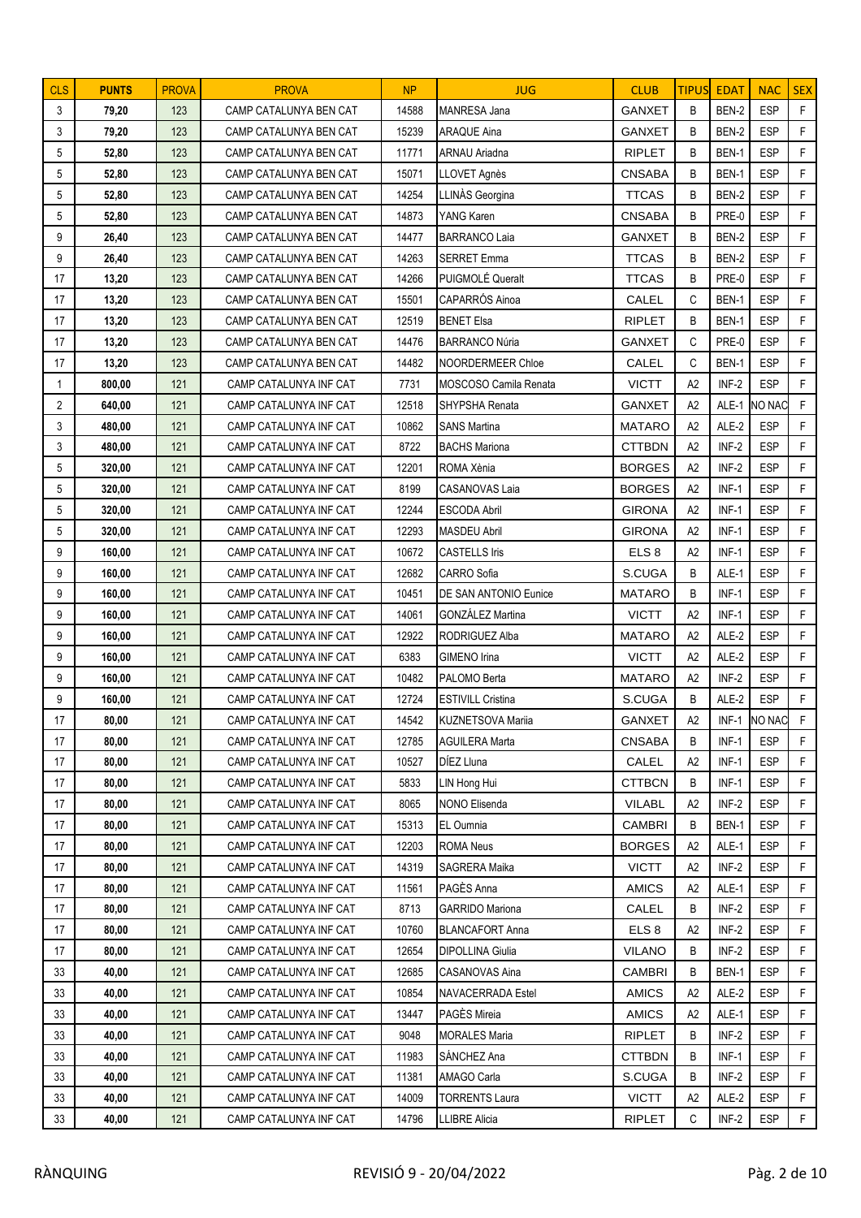| <b>CLS</b>   | <b>PUNTS</b> | <b>PROVA</b> | <b>PROVA</b>           | <b>NP</b> | <b>JUG</b>                   | <b>CLUB</b>      | <b>TIPUS</b>   | <b>EDAT</b> | <b>NAC</b>   | <b>SEX</b>  |
|--------------|--------------|--------------|------------------------|-----------|------------------------------|------------------|----------------|-------------|--------------|-------------|
| 3            | 79,20        | 123          | CAMP CATALUNYA BEN CAT | 14588     | MANRESA Jana                 | <b>GANXET</b>    | B              | BEN-2       | <b>ESP</b>   | F           |
| 3            | 79,20        | 123          | CAMP CATALUNYA BEN CAT | 15239     | <b>ARAQUE Aina</b>           | <b>GANXET</b>    | B              | BEN-2       | <b>ESP</b>   | F           |
| 5            | 52,80        | 123          | CAMP CATALUNYA BEN CAT | 11771     | ARNAU Ariadna                | <b>RIPLET</b>    | B              | BEN-1       | <b>ESP</b>   | F           |
| 5            | 52,80        | 123          | CAMP CATALUNYA BEN CAT | 15071     | LLOVET Agnès                 | <b>CNSABA</b>    | B              | BEN-1       | <b>ESP</b>   | F           |
| 5            | 52,80        | 123          | CAMP CATALUNYA BEN CAT | 14254     | LLINÀS Georgina              | <b>TTCAS</b>     | B              | BEN-2       | <b>ESP</b>   | $\mathsf F$ |
| 5            | 52,80        | 123          | CAMP CATALUNYA BEN CAT | 14873     | YANG Karen                   | <b>CNSABA</b>    | B              | PRE-0       | <b>ESP</b>   | F           |
| 9            | 26,40        | 123          | CAMP CATALUNYA BEN CAT | 14477     | <b>BARRANCO Laia</b>         | <b>GANXET</b>    | B              | BEN-2       | <b>ESP</b>   | F           |
| 9            | 26,40        | 123          | CAMP CATALUNYA BEN CAT | 14263     | <b>SERRET Emma</b>           | <b>TTCAS</b>     | B              | BEN-2       | <b>ESP</b>   | F           |
| 17           | 13,20        | 123          | CAMP CATALUNYA BEN CAT | 14266     | PUIGMOLÉ Queralt             | <b>TTCAS</b>     | B              | PRE-0       | <b>ESP</b>   | F           |
| 17           | 13,20        | 123          | CAMP CATALUNYA BEN CAT | 15501     | CAPARRÓS Ainoa               | CALEL            | C              | BEN-1       | <b>ESP</b>   | F           |
| 17           | 13,20        | 123          | CAMP CATALUNYA BEN CAT | 12519     | <b>BENET Elsa</b>            | <b>RIPLET</b>    | B              | BEN-1       | <b>ESP</b>   | F           |
| 17           | 13,20        | 123          | CAMP CATALUNYA BEN CAT | 14476     | <b>BARRANCO Núria</b>        | <b>GANXET</b>    | C              | PRE-0       | <b>ESP</b>   | F           |
| 17           | 13,20        | 123          | CAMP CATALUNYA BEN CAT | 14482     | NOORDERMEER Chloe            | CALEL            | C              | BEN-1       | <b>ESP</b>   | F           |
| $\mathbf{1}$ | 800,00       | 121          | CAMP CATALUNYA INF CAT | 7731      | <b>MOSCOSO Camila Renata</b> | <b>VICTT</b>     | A <sub>2</sub> | INF-2       | <b>ESP</b>   | F           |
| 2            | 640,00       | 121          | CAMP CATALUNYA INF CAT | 12518     | SHYPSHA Renata               | <b>GANXET</b>    | A2             | ALE-1       | NO NAC       | F           |
| 3            | 480,00       | 121          | CAMP CATALUNYA INF CAT | 10862     | <b>SANS Martina</b>          | <b>MATARO</b>    | A <sub>2</sub> | ALE-2       | <b>ESP</b>   | F           |
| 3            | 480,00       | 121          | CAMP CATALUNYA INF CAT | 8722      | <b>BACHS Mariona</b>         | <b>CTTBDN</b>    | A <sub>2</sub> | INF-2       | <b>ESP</b>   | F           |
| 5            | 320,00       | 121          | CAMP CATALUNYA INF CAT | 12201     | ROMA Xènia                   | <b>BORGES</b>    | A2             | INF-2       | <b>ESP</b>   | F           |
| 5            | 320,00       | 121          | CAMP CATALUNYA INF CAT | 8199      | CASANOVAS Laia               | <b>BORGES</b>    | A <sub>2</sub> | $INF-1$     | <b>ESP</b>   | F           |
| 5            | 320,00       | 121          | CAMP CATALUNYA INF CAT | 12244     | ESCODA Abril                 | <b>GIRONA</b>    | A <sub>2</sub> | INF-1       | <b>ESP</b>   | F           |
| 5            | 320,00       | 121          | CAMP CATALUNYA INF CAT | 12293     | <b>MASDEU Abril</b>          | <b>GIRONA</b>    | A2             | $INF-1$     | <b>ESP</b>   | F           |
| 9            | 160,00       | 121          | CAMP CATALUNYA INF CAT | 10672     | <b>CASTELLS Iris</b>         | ELS <sub>8</sub> | A2             | $INF-1$     | <b>ESP</b>   | F           |
| 9            | 160,00       | 121          | CAMP CATALUNYA INF CAT | 12682     | <b>CARRO</b> Sofia           | S.CUGA           | B              | ALE-1       | <b>ESP</b>   | F           |
| 9            | 160,00       | 121          | CAMP CATALUNYA INF CAT | 10451     | DE SAN ANTONIO Eunice        | <b>MATARO</b>    | B              | INF-1       | <b>ESP</b>   | $\mathsf F$ |
| 9            | 160,00       | 121          | CAMP CATALUNYA INF CAT | 14061     | GONZÁLEZ Martina             | <b>VICTT</b>     | A2             | INF-1       | <b>ESP</b>   | F           |
| 9            | 160,00       | 121          | CAMP CATALUNYA INF CAT | 12922     | RODRIGUEZ Alba               | <b>MATARO</b>    | A <sub>2</sub> | ALE-2       | <b>ESP</b>   | F           |
| 9            | 160,00       | 121          | CAMP CATALUNYA INF CAT | 6383      | <b>GIMENO</b> Irina          | <b>VICTT</b>     | A2             | ALE-2       | <b>ESP</b>   | F           |
| 9            | 160,00       | 121          | CAMP CATALUNYA INF CAT | 10482     | PALOMO Berta                 | <b>MATARO</b>    | A <sub>2</sub> | INF-2       | <b>ESP</b>   | F           |
| 9            | 160,00       | 121          | CAMP CATALUNYA INF CAT | 12724     | <b>ESTIVILL Cristina</b>     | S.CUGA           | B              | ALE-2       | <b>ESP</b>   | $\mathsf F$ |
| 17           | 80,00        | 121          | CAMP CATALUNYA INF CAT | 14542     | KUZNETSOVA Mariia            | GANXET           | A <sub>2</sub> |             | INF-1 NO NAC | $\mathsf F$ |
| 17           | 80,00        | 121          | CAMP CATALUNYA INF CAT | 12785     | <b>AGUILERA Marta</b>        | <b>CNSABA</b>    | B              | $INF-1$     | <b>ESP</b>   | F.          |
| 17           | 80,00        | 121          | CAMP CATALUNYA INF CAT | 10527     | DÍEZ Lluna                   | CALEL            | A2             | INF-1       | <b>ESP</b>   | F           |
| 17           | 80,00        | 121          | CAMP CATALUNYA INF CAT | 5833      | LIN Hong Hui                 | <b>CTTBCN</b>    | B              | INF-1       | <b>ESP</b>   | F           |
| $17$         | 80,00        | 121          | CAMP CATALUNYA INF CAT | 8065      | NONO Elisenda                | <b>VILABL</b>    | A2             | INF-2       | <b>ESP</b>   | F           |
| 17           | 80,00        | 121          | CAMP CATALUNYA INF CAT | 15313     | EL Oumnia                    | <b>CAMBRI</b>    | B              | BEN-1       | <b>ESP</b>   | F           |
| 17           | 80,00        | 121          | CAMP CATALUNYA INF CAT | 12203     | <b>ROMA Neus</b>             | <b>BORGES</b>    | A2             | ALE-1       | <b>ESP</b>   | F           |
| 17           | 80,00        | 121          | CAMP CATALUNYA INF CAT | 14319     | SAGRERA Maika                | <b>VICTT</b>     | A <sub>2</sub> | INF-2       | <b>ESP</b>   | F           |
| 17           | 80,00        | 121          | CAMP CATALUNYA INF CAT | 11561     | PAGÈS Anna                   | <b>AMICS</b>     | A <sub>2</sub> | ALE-1       | <b>ESP</b>   | F           |
| 17           | 80,00        | 121          | CAMP CATALUNYA INF CAT | 8713      | <b>GARRIDO</b> Mariona       | CALEL            | B              | INF-2       | <b>ESP</b>   | F           |
| 17           | 80,00        | 121          | CAMP CATALUNYA INF CAT | 10760     | <b>BLANCAFORT Anna</b>       | ELS <sub>8</sub> | A2             | INF-2       | ESP          | F           |
| 17           | 80,00        | 121          | CAMP CATALUNYA INF CAT | 12654     | DIPOLLINA Giulia             | <b>VILANO</b>    | B              | INF-2       | <b>ESP</b>   | F           |
| 33           | 40,00        | 121          | CAMP CATALUNYA INF CAT | 12685     | <b>CASANOVAS Aina</b>        | <b>CAMBRI</b>    | B              | BEN-1       | <b>ESP</b>   | F           |
| 33           | 40,00        | 121          | CAMP CATALUNYA INF CAT | 10854     | NAVACERRADA Estel            | <b>AMICS</b>     | A2             | ALE-2       | <b>ESP</b>   | F           |
| 33           | 40,00        | 121          | CAMP CATALUNYA INF CAT | 13447     | PAGÉS Mireia                 | <b>AMICS</b>     | A2             | ALE-1       | <b>ESP</b>   | F           |
| 33           | 40,00        | 121          | CAMP CATALUNYA INF CAT | 9048      | <b>MORALES Maria</b>         | <b>RIPLET</b>    | B              | INF-2       | <b>ESP</b>   | F           |
| 33           | 40,00        | 121          | CAMP CATALUNYA INF CAT | 11983     | SÁNCHEZ Ana                  | <b>CTTBDN</b>    | B              | INF-1       | <b>ESP</b>   | F           |
| 33           | 40,00        | 121          | CAMP CATALUNYA INF CAT | 11381     | AMAGO Carla                  | S.CUGA           | B              | INF-2       | <b>ESP</b>   | F           |
| 33           | 40,00        | 121          | CAMP CATALUNYA INF CAT | 14009     | <b>TORRENTS Laura</b>        | <b>VICTT</b>     | A <sub>2</sub> | ALE-2       | <b>ESP</b>   | F           |
| 33           | 40,00        | 121          | CAMP CATALUNYA INF CAT | 14796     | LLIBRE Alicia                | <b>RIPLET</b>    | С              | INF-2       | <b>ESP</b>   | F           |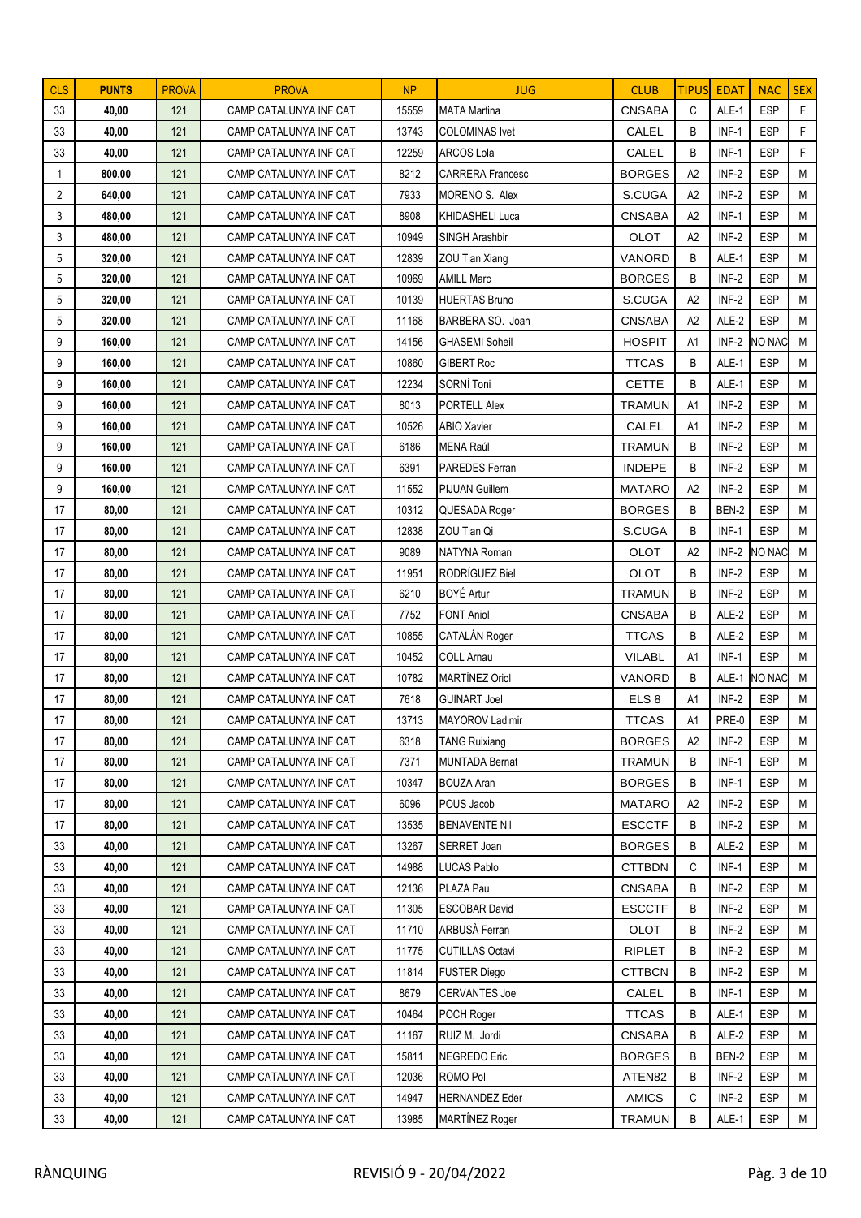| <b>CLS</b>     | <b>PUNTS</b> | <b>PROVA</b> | <b>PROVA</b>           | <b>NP</b> | <b>JUG</b>              | <b>CLUB</b>      | <b>TIPUS</b>   | <b>EDAT</b> | <b>NAC</b> | <b>SEX</b>  |
|----------------|--------------|--------------|------------------------|-----------|-------------------------|------------------|----------------|-------------|------------|-------------|
| 33             | 40,00        | 121          | CAMP CATALUNYA INF CAT | 15559     | <b>MATA Martina</b>     | <b>CNSABA</b>    | C              | ALE-1       | <b>ESP</b> | $\mathsf F$ |
| 33             | 40,00        | 121          | CAMP CATALUNYA INF CAT | 13743     | <b>COLOMINAS Ivet</b>   | CALEL            | B              | $INF-1$     | <b>ESP</b> | F           |
| 33             | 40,00        | 121          | CAMP CATALUNYA INF CAT | 12259     | <b>ARCOS Lola</b>       | CALEL            | B              | $INF-1$     | <b>ESP</b> | F           |
| 1              | 800,00       | 121          | CAMP CATALUNYA INF CAT | 8212      | <b>CARRERA Francesc</b> | <b>BORGES</b>    | A <sub>2</sub> | INF-2       | <b>ESP</b> | M           |
| $\overline{2}$ | 640,00       | 121          | CAMP CATALUNYA INF CAT | 7933      | MORENO S. Alex          | S.CUGA           | A2             | INF-2       | <b>ESP</b> | M           |
| 3              | 480,00       | 121          | CAMP CATALUNYA INF CAT | 8908      | KHIDASHELI Luca         | <b>CNSABA</b>    | A2             | $INF-1$     | <b>ESP</b> | M           |
| 3              | 480,00       | 121          | CAMP CATALUNYA INF CAT | 10949     | <b>SINGH Arashbir</b>   | <b>OLOT</b>      | A2             | INF-2       | <b>ESP</b> | M           |
| 5              | 320,00       | 121          | CAMP CATALUNYA INF CAT | 12839     | ZOU Tian Xiang          | VANORD           | B              | ALE-1       | <b>ESP</b> | M           |
| 5              | 320,00       | 121          | CAMP CATALUNYA INF CAT | 10969     | <b>AMILL Marc</b>       | <b>BORGES</b>    | B              | INF-2       | <b>ESP</b> | M           |
| 5              | 320,00       | 121          | CAMP CATALUNYA INF CAT | 10139     | <b>HUERTAS Bruno</b>    | S.CUGA           | A2             | INF-2       | <b>ESP</b> | M           |
| 5              | 320,00       | 121          | CAMP CATALUNYA INF CAT | 11168     | BARBERA SO. Joan        | <b>CNSABA</b>    | A2             | ALE-2       | <b>ESP</b> | M           |
| 9              | 160,00       | 121          | CAMP CATALUNYA INF CAT | 14156     | <b>GHASEMI Soheil</b>   | <b>HOSPIT</b>    | A1             | $INF-2$     | NO NAC     | M           |
| 9              | 160,00       | 121          | CAMP CATALUNYA INF CAT | 10860     | <b>GIBERT Roc</b>       | <b>TTCAS</b>     | B              | ALE-1       | <b>ESP</b> | M           |
| 9              | 160,00       | 121          | CAMP CATALUNYA INF CAT | 12234     | SORNÍ Toni              | <b>CETTE</b>     | B              | ALE-1       | <b>ESP</b> | M           |
| 9              | 160,00       | 121          | CAMP CATALUNYA INF CAT | 8013      | PORTELL Alex            | <b>TRAMUN</b>    | A <sub>1</sub> | INF-2       | <b>ESP</b> | M           |
| 9              | 160,00       | 121          | CAMP CATALUNYA INF CAT | 10526     | <b>ABIO Xavier</b>      | CALEL            | A1             | INF-2       | <b>ESP</b> | M           |
| 9              | 160,00       | 121          | CAMP CATALUNYA INF CAT | 6186      | MENA Raúl               | <b>TRAMUN</b>    | B              | INF-2       | <b>ESP</b> | M           |
| 9              | 160,00       | 121          | CAMP CATALUNYA INF CAT | 6391      | PAREDES Ferran          | <b>INDEPE</b>    | B              | INF-2       | <b>ESP</b> | M           |
| 9              | 160,00       | 121          | CAMP CATALUNYA INF CAT | 11552     | PIJUAN Guillem          | <b>MATARO</b>    | A2             | INF-2       | <b>ESP</b> | M           |
| 17             | 80,00        | 121          | CAMP CATALUNYA INF CAT | 10312     | QUESADA Roger           | <b>BORGES</b>    | B              | BEN-2       | <b>ESP</b> | M           |
| 17             | 80,00        | 121          | CAMP CATALUNYA INF CAT | 12838     | ZOU Tian Qi             | S.CUGA           | B              | $INF-1$     | <b>ESP</b> | M           |
| 17             | 80,00        | 121          | CAMP CATALUNYA INF CAT | 9089      | <b>NATYNA Roman</b>     | <b>OLOT</b>      | A2             | INF-2       | NO NAC     | M           |
| 17             | 80,00        | 121          | CAMP CATALUNYA INF CAT | 11951     | RODRÍGUEZ Biel          | <b>OLOT</b>      | B              | INF-2       | <b>ESP</b> | M           |
| 17             | 80,00        | 121          | CAMP CATALUNYA INF CAT | 6210      | <b>BOYÉ Artur</b>       | <b>TRAMUN</b>    | B              | INF-2       | <b>ESP</b> | M           |
| 17             | 80,00        | 121          | CAMP CATALUNYA INF CAT | 7752      | <b>FONT Aniol</b>       | <b>CNSABA</b>    | B              | ALE-2       | <b>ESP</b> | M           |
| 17             | 80,00        | 121          | CAMP CATALUNYA INF CAT | 10855     | CATALÁN Roger           | <b>TTCAS</b>     | B              | ALE-2       | <b>ESP</b> | M           |
| 17             | 80,00        | 121          | CAMP CATALUNYA INF CAT | 10452     | <b>COLL Arnau</b>       | <b>VILABL</b>    | A1             | $INF-1$     | <b>ESP</b> | M           |
| 17             | 80,00        | 121          | CAMP CATALUNYA INF CAT | 10782     | MARTÍNEZ Oriol          | VANORD           | B              | ALE-1       | NO NAC     | M           |
| 17             | 80,00        | 121          | CAMP CATALUNYA INF CAT | 7618      | <b>GUINART Joel</b>     | ELS <sub>8</sub> | A1             | INF-2       | <b>ESP</b> | M           |
| 17             | 80,00        | 121          | CAMP CATALUNYA INF CAT | 13713     | MAYOROV Ladimir         | <b>TTCAS</b>     | A1             | PRE-0       | ESP        | M           |
| 17             | 80,00        | 121          | CAMP CATALUNYA INF CAT | 6318      | <b>TANG Ruixiang</b>    | <b>BORGES</b>    | A <sub>2</sub> | INF-2       | <b>ESP</b> | M           |
| 17             | 80,00        | 121          | CAMP CATALUNYA INF CAT | 7371      | <b>MUNTADA Bernat</b>   | <b>TRAMUN</b>    | B              | $INF-1$     | <b>ESP</b> | M           |
| 17             | 80,00        | 121          | CAMP CATALUNYA INF CAT | 10347     | <b>BOUZA Aran</b>       | <b>BORGES</b>    | B              | $INF-1$     | ESP        | M           |
| 17             | 80,00        | 121          | CAMP CATALUNYA INF CAT | 6096      | POUS Jacob              | <b>MATARO</b>    | A2             | INF-2       | <b>ESP</b> | M           |
| 17             | 80,00        | 121          | CAMP CATALUNYA INF CAT | 13535     | <b>BENAVENTE Nil</b>    | <b>ESCCTF</b>    | B              | INF-2       | <b>ESP</b> | M           |
| 33             | 40,00        | 121          | CAMP CATALUNYA INF CAT | 13267     | SERRET Joan             | <b>BORGES</b>    | B              | ALE-2       | <b>ESP</b> | M           |
| 33             | 40,00        | 121          | CAMP CATALUNYA INF CAT | 14988     | LUCAS Pablo             | <b>CTTBDN</b>    | С              | $INF-1$     | ESP        | М           |
| 33             | 40,00        | 121          | CAMP CATALUNYA INF CAT | 12136     | PLAZA Pau               | <b>CNSABA</b>    | B              | INF-2       | <b>ESP</b> | M           |
| 33             | 40,00        | 121          | CAMP CATALUNYA INF CAT | 11305     | <b>ESCOBAR David</b>    | <b>ESCCTF</b>    | B              | INF-2       | <b>ESP</b> | M           |
| 33             | 40,00        | 121          | CAMP CATALUNYA INF CAT | 11710     | ARBUSÀ Ferran           | <b>OLOT</b>      | В              | INF-2       | <b>ESP</b> | M           |
| 33             | 40,00        | 121          | CAMP CATALUNYA INF CAT | 11775     | <b>CUTILLAS Octavi</b>  | <b>RIPLET</b>    | B              | INF-2       | <b>ESP</b> | M           |
| 33             | 40,00        | 121          | CAMP CATALUNYA INF CAT | 11814     | <b>FUSTER Diego</b>     | <b>CTTBCN</b>    | В              | INF-2       | <b>ESP</b> | М           |
| 33             | 40,00        | 121          | CAMP CATALUNYA INF CAT | 8679      | <b>CERVANTES Joel</b>   | CALEL            | B              | $INF-1$     | <b>ESP</b> | M           |
| 33             | 40,00        | 121          | CAMP CATALUNYA INF CAT | 10464     | POCH Roger              | <b>TTCAS</b>     | B              | ALE-1       | <b>ESP</b> | M           |
| 33             | 40,00        | 121          | CAMP CATALUNYA INF CAT | 11167     | RUIZ M. Jordi           | <b>CNSABA</b>    | B              | ALE-2       | <b>ESP</b> | M           |
| 33             | 40,00        | 121          | CAMP CATALUNYA INF CAT | 15811     | NEGREDO Eric            | <b>BORGES</b>    | B              | BEN-2       | <b>ESP</b> | M           |
| 33             | 40,00        | 121          | CAMP CATALUNYA INF CAT | 12036     | ROMO Pol                | ATEN82           | B              | INF-2       | <b>ESP</b> | M           |
| 33             | 40,00        | 121          | CAMP CATALUNYA INF CAT | 14947     | <b>HERNANDEZ Eder</b>   | <b>AMICS</b>     | C              | INF-2       | <b>ESP</b> | M           |
| 33             | 40,00        | 121          | CAMP CATALUNYA INF CAT | 13985     | MARTÍNEZ Roger          | <b>TRAMUN</b>    | В              | ALE-1       | <b>ESP</b> | M           |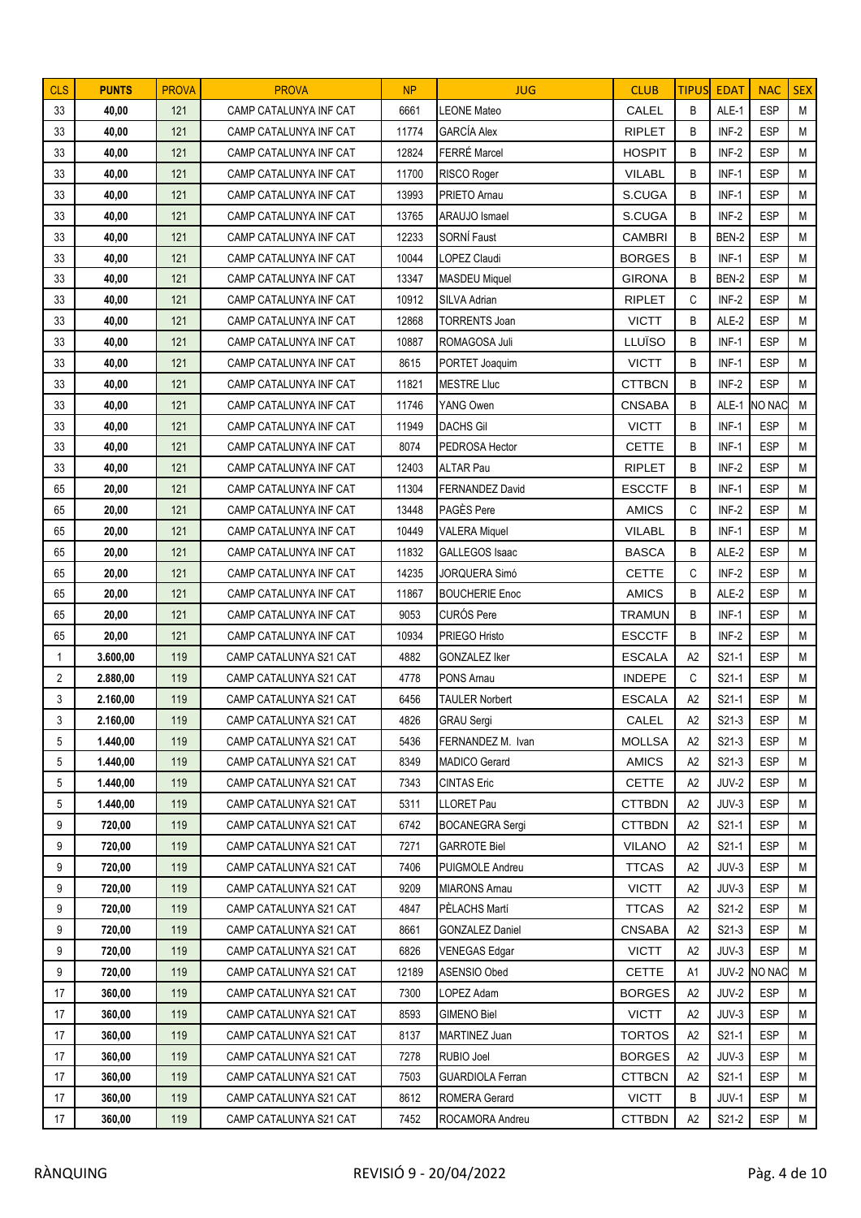| <b>CLS</b>      | <b>PUNTS</b> | <b>PROVA</b> | <b>PROVA</b>           | <b>NP</b> | <b>JUG</b>              | <b>CLUB</b>   | <b>TIPUS</b>   | <b>EDAT</b> | <b>NAC</b> | <b>SEX</b>   |
|-----------------|--------------|--------------|------------------------|-----------|-------------------------|---------------|----------------|-------------|------------|--------------|
| 33              | 40,00        | 121          | CAMP CATALUNYA INF CAT | 6661      | <b>LEONE Mateo</b>      | CALEL         | B              | ALE-1       | <b>ESP</b> | M            |
| 33              | 40,00        | 121          | CAMP CATALUNYA INF CAT | 11774     | <b>GARCÍA Alex</b>      | <b>RIPLET</b> | B              | INF-2       | <b>ESP</b> | M            |
| 33              | 40,00        | 121          | CAMP CATALUNYA INF CAT | 12824     | FERRÉ Marcel            | <b>HOSPIT</b> | B              | INF-2       | <b>ESP</b> | M            |
| 33              | 40,00        | 121          | CAMP CATALUNYA INF CAT | 11700     | RISCO Roger             | <b>VILABL</b> | B              | INF-1       | <b>ESP</b> | M            |
| 33              | 40,00        | 121          | CAMP CATALUNYA INF CAT | 13993     | PRIETO Arnau            | S.CUGA        | B              | INF-1       | <b>ESP</b> | M            |
| 33              | 40,00        | 121          | CAMP CATALUNYA INF CAT | 13765     | ARAUJO Ismael           | S.CUGA        | B              | INF-2       | <b>ESP</b> | M            |
| 33              | 40,00        | 121          | CAMP CATALUNYA INF CAT | 12233     | SORNÍ Faust             | <b>CAMBRI</b> | B              | BEN-2       | <b>ESP</b> | M            |
| 33              | 40,00        | 121          | CAMP CATALUNYA INF CAT | 10044     | LOPEZ Claudi            | <b>BORGES</b> | B              | $INF-1$     | <b>ESP</b> | M            |
| 33              | 40,00        | 121          | CAMP CATALUNYA INF CAT | 13347     | <b>MASDEU Miquel</b>    | <b>GIRONA</b> | B              | BEN-2       | <b>ESP</b> | M            |
| 33              | 40,00        | 121          | CAMP CATALUNYA INF CAT | 10912     | SILVA Adrian            | <b>RIPLET</b> | C              | INF-2       | <b>ESP</b> | M            |
| 33              | 40,00        | 121          | CAMP CATALUNYA INF CAT | 12868     | <b>TORRENTS Joan</b>    | <b>VICTT</b>  | B              | ALE-2       | <b>ESP</b> | M            |
| 33              | 40,00        | 121          | CAMP CATALUNYA INF CAT | 10887     | ROMAGOSA Juli           | LLUÏSO        | B              | INF-1       | <b>ESP</b> | M            |
| 33              | 40,00        | 121          | CAMP CATALUNYA INF CAT | 8615      | PORTET Joaquim          | <b>VICTT</b>  | B              | INF-1       | <b>ESP</b> | M            |
| 33              | 40,00        | 121          | CAMP CATALUNYA INF CAT | 11821     | <b>MESTRE Lluc</b>      | <b>CTTBCN</b> | B              | INF-2       | <b>ESP</b> | M            |
| 33              | 40,00        | 121          | CAMP CATALUNYA INF CAT | 11746     | YANG Owen               | <b>CNSABA</b> | B              | ALE-1       | NO NAC     | M            |
| 33              | 40,00        | 121          | CAMP CATALUNYA INF CAT | 11949     | <b>DACHS Gil</b>        | <b>VICTT</b>  | B              | INF-1       | <b>ESP</b> | M            |
| 33              | 40,00        | 121          | CAMP CATALUNYA INF CAT | 8074      | PEDROSA Hector          | <b>CETTE</b>  | B              | $INF-1$     | <b>ESP</b> | M            |
| 33              | 40,00        | 121          | CAMP CATALUNYA INF CAT | 12403     | ALTAR Pau               | <b>RIPLET</b> | B              | INF-2       | <b>ESP</b> | M            |
| 65              | 20,00        | 121          | CAMP CATALUNYA INF CAT | 11304     | <b>FERNANDEZ David</b>  | <b>ESCCTF</b> | B              | INF-1       | <b>ESP</b> | M            |
| 65              | 20,00        | 121          | CAMP CATALUNYA INF CAT | 13448     | PAGÈS Pere              | <b>AMICS</b>  | C              | INF-2       | <b>ESP</b> | M            |
| 65              | 20,00        | 121          | CAMP CATALUNYA INF CAT | 10449     | <b>VALERA Miquel</b>    | <b>VILABL</b> | B              | $INF-1$     | <b>ESP</b> | M            |
| 65              | 20,00        | 121          | CAMP CATALUNYA INF CAT | 11832     | GALLEGOS Isaac          | <b>BASCA</b>  | B              | ALE-2       | <b>ESP</b> | M            |
| 65              | 20,00        | 121          | CAMP CATALUNYA INF CAT | 14235     | <b>JORQUERA Simó</b>    | <b>CETTE</b>  | C              | INF-2       | <b>ESP</b> | M            |
| 65              | 20,00        | 121          | CAMP CATALUNYA INF CAT | 11867     | <b>BOUCHERIE Enoc</b>   | <b>AMICS</b>  | B              | ALE-2       | <b>ESP</b> | M            |
| 65              | 20,00        | 121          | CAMP CATALUNYA INF CAT | 9053      | <b>CURÓS Pere</b>       | <b>TRAMUN</b> | B              | INF-1       | <b>ESP</b> | M            |
| 65              | 20,00        | 121          | CAMP CATALUNYA INF CAT | 10934     | PRIEGO Hristo           | <b>ESCCTF</b> | B              | INF-2       | <b>ESP</b> | M            |
| $\mathbf{1}$    | 3.600,00     | 119          | CAMP CATALUNYA S21 CAT | 4882      | <b>GONZALEZ Iker</b>    | <b>ESCALA</b> | A2             | $S21-1$     | <b>ESP</b> | M            |
| 2               | 2.880,00     | 119          | CAMP CATALUNYA S21 CAT | 4778      | PONS Amau               | <b>INDEPE</b> | C              | S21-1       | <b>ESP</b> | M            |
| 3               | 2.160,00     | 119          | CAMP CATALUNYA S21 CAT | 6456      | <b>TAULER Norbert</b>   | <b>ESCALA</b> | A <sub>2</sub> | S21-1       | <b>ESP</b> | $\mathsf{M}$ |
| 3               | 2.160,00     | 119          | CAMP CATALUNYA S21 CAT | 4826      | GRAU Sergi              | CALEL         | A <sub>2</sub> | S21-3       | <b>ESP</b> | ${\sf M}$    |
| 5               | 1.440,00     | 119          | CAMP CATALUNYA S21 CAT | 5436      | FERNANDEZ M. Ivan       | <b>MOLLSA</b> | A2             | S21-3       | <b>ESP</b> | M            |
| $5\overline{)}$ | 1.440,00     | 119          | CAMP CATALUNYA S21 CAT | 8349      | <b>MADICO Gerard</b>    | <b>AMICS</b>  | A2             | S21-3       | <b>ESP</b> | M            |
| 5               | 1.440.00     | 119          | CAMP CATALUNYA S21 CAT | 7343      | <b>CINTAS Eric</b>      | <b>CETTE</b>  | A2             | JUV-2       | <b>ESP</b> | M            |
| 5               | 1.440,00     | 119          | CAMP CATALUNYA S21 CAT | 5311      | LLORET Pau              | <b>CTTBDN</b> | A2             | JUV-3       | <b>ESP</b> | M            |
| 9               | 720,00       | 119          | CAMP CATALUNYA S21 CAT | 6742      | <b>BOCANEGRA Sergi</b>  | <b>CTTBDN</b> | A2             | S21-1       | <b>ESP</b> | M            |
| 9               | 720,00       | 119          | CAMP CATALUNYA S21 CAT | 7271      | <b>GARROTE Biel</b>     | <b>VILANO</b> | A <sub>2</sub> | S21-1       | <b>ESP</b> | M            |
| 9               | 720,00       | 119          | CAMP CATALUNYA S21 CAT | 7406      | PUIGMOLE Andreu         | <b>TTCAS</b>  | A2             | JUV-3       | <b>ESP</b> | М            |
| 9               | 720,00       | 119          | CAMP CATALUNYA S21 CAT | 9209      | <b>MIARONS Amau</b>     | <b>VICTT</b>  | A <sub>2</sub> | JUV-3       | <b>ESP</b> | M            |
| 9               | 720,00       | 119          | CAMP CATALUNYA S21 CAT | 4847      | PÈLACHS Martí           | <b>TTCAS</b>  | A2             | S21-2       | <b>ESP</b> | M            |
| 9               | 720,00       | 119          | CAMP CATALUNYA S21 CAT | 8661      | <b>GONZALEZ Daniel</b>  | <b>CNSABA</b> | A2             | S21-3       | <b>ESP</b> | M            |
| 9               | 720,00       | 119          | CAMP CATALUNYA S21 CAT | 6826      | <b>VENEGAS Edgar</b>    | <b>VICTT</b>  | A2             | JUV-3       | <b>ESP</b> | M            |
| 9               | 720,00       | 119          | CAMP CATALUNYA S21 CAT | 12189     | ASENSIO Obed            | <b>CETTE</b>  | A1             | JUV-2       | NO NAC     | M            |
| 17              | 360,00       | 119          | CAMP CATALUNYA S21 CAT | 7300      | LOPEZ Adam              | <b>BORGES</b> | A2             | JUV-2       | <b>ESP</b> | M            |
| 17              | 360,00       | 119          | CAMP CATALUNYA S21 CAT | 8593      | GIMENO Biel             | <b>VICTT</b>  | A2             | JUV-3       | ESP        | M            |
| 17              | 360,00       | 119          | CAMP CATALUNYA S21 CAT | 8137      | MARTINEZ Juan           | <b>TORTOS</b> | A2             | S21-1       | <b>ESP</b> | M            |
| 17              | 360,00       | 119          | CAMP CATALUNYA S21 CAT | 7278      | RUBIO Joel              | <b>BORGES</b> | A2             | JUV-3       | <b>ESP</b> | M            |
| 17              | 360,00       | 119          | CAMP CATALUNYA S21 CAT | 7503      | <b>GUARDIOLA Ferran</b> | <b>CTTBCN</b> | A2             | S21-1       | ESP        | M            |
| 17              | 360,00       | 119          | CAMP CATALUNYA S21 CAT | 8612      | <b>ROMERA Gerard</b>    | <b>VICTT</b>  | B              | JUV-1       | <b>ESP</b> | M            |
| 17              | 360,00       | 119          | CAMP CATALUNYA S21 CAT | 7452      | ROCAMORA Andreu         | <b>CTTBDN</b> | A2             | S21-2       | <b>ESP</b> | M            |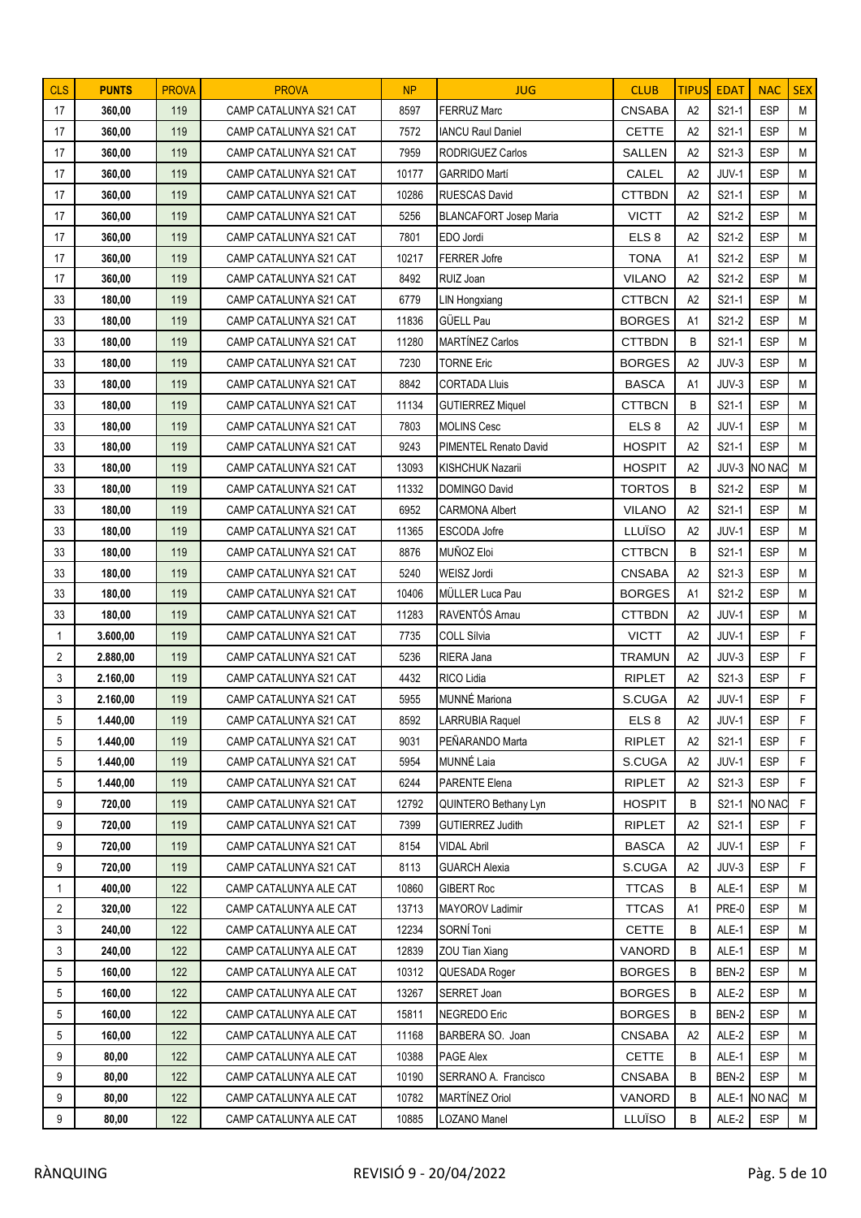| <b>CLS</b>     | <b>PUNTS</b> | <b>PROVA</b> | <b>PROVA</b>           | <b>NP</b> | <b>JUG</b>                    | <b>CLUB</b>      | <b>TIPUS</b>   | <b>EDAT</b> | <b>NAC</b>    | <b>SEX</b> |
|----------------|--------------|--------------|------------------------|-----------|-------------------------------|------------------|----------------|-------------|---------------|------------|
| 17             | 360,00       | 119          | CAMP CATALUNYA S21 CAT | 8597      | <b>FERRUZ Marc</b>            | <b>CNSABA</b>    | A2             | S21-1       | <b>ESP</b>    | M          |
| 17             | 360,00       | 119          | CAMP CATALUNYA S21 CAT | 7572      | <b>IANCU Raul Daniel</b>      | <b>CETTE</b>     | A2             | $S21-1$     | <b>ESP</b>    | M          |
| 17             | 360,00       | 119          | CAMP CATALUNYA S21 CAT | 7959      | <b>RODRIGUEZ Carlos</b>       | <b>SALLEN</b>    | A2             | S21-3       | <b>ESP</b>    | M          |
| 17             | 360,00       | 119          | CAMP CATALUNYA S21 CAT | 10177     | <b>GARRIDO Martí</b>          | CALEL            | A2             | JUV-1       | <b>ESP</b>    | M          |
| 17             | 360,00       | 119          | CAMP CATALUNYA S21 CAT | 10286     | <b>RUESCAS David</b>          | <b>CTTBDN</b>    | A2             | $S21-1$     | <b>ESP</b>    | M          |
| 17             | 360,00       | 119          | CAMP CATALUNYA S21 CAT | 5256      | <b>BLANCAFORT Josep Maria</b> | <b>VICTT</b>     | A2             | S21-2       | <b>ESP</b>    | M          |
| 17             | 360,00       | 119          | CAMP CATALUNYA S21 CAT | 7801      | EDO Jordi                     | ELS <sub>8</sub> | A2             | S21-2       | <b>ESP</b>    | M          |
| 17             | 360,00       | 119          | CAMP CATALUNYA S21 CAT | 10217     | <b>FERRER Jofre</b>           | <b>TONA</b>      | A1             | S21-2       | <b>ESP</b>    | M          |
| 17             | 360,00       | 119          | CAMP CATALUNYA S21 CAT | 8492      | RUIZ Joan                     | <b>VILANO</b>    | A2             | S21-2       | <b>ESP</b>    | M          |
| 33             | 180,00       | 119          | CAMP CATALUNYA S21 CAT | 6779      | <b>LIN Hongxiang</b>          | <b>CTTBCN</b>    | A2             | $S21-1$     | <b>ESP</b>    | M          |
| 33             | 180,00       | 119          | CAMP CATALUNYA S21 CAT | 11836     | GÜELL Pau                     | <b>BORGES</b>    | A1             | S21-2       | <b>ESP</b>    | M          |
| 33             | 180,00       | 119          | CAMP CATALUNYA S21 CAT | 11280     | <b>MARTÍNEZ Carlos</b>        | <b>CTTBDN</b>    | B              | S21-1       | <b>ESP</b>    | M          |
| 33             | 180,00       | 119          | CAMP CATALUNYA S21 CAT | 7230      | <b>TORNE Eric</b>             | <b>BORGES</b>    | A2             | JUV-3       | <b>ESP</b>    | M          |
| 33             | 180,00       | 119          | CAMP CATALUNYA S21 CAT | 8842      | <b>CORTADA Lluis</b>          | <b>BASCA</b>     | A1             | JUV-3       | <b>ESP</b>    | M          |
| 33             | 180,00       | 119          | CAMP CATALUNYA S21 CAT | 11134     | <b>GUTIERREZ Miquel</b>       | <b>CTTBCN</b>    | B              | S21-1       | <b>ESP</b>    | M          |
| 33             | 180,00       | 119          | CAMP CATALUNYA S21 CAT | 7803      | <b>MOLINS Cesc</b>            | ELS 8            | A2             | JUV-1       | <b>ESP</b>    | M          |
| 33             | 180,00       | 119          | CAMP CATALUNYA S21 CAT | 9243      | PIMENTEL Renato David         | <b>HOSPIT</b>    | A2             | S21-1       | <b>ESP</b>    | M          |
| 33             | 180,00       | 119          | CAMP CATALUNYA S21 CAT | 13093     | KISHCHUK Nazarii              | <b>HOSPIT</b>    | A2             | JUV-3       | <b>NO NAC</b> | M          |
| 33             | 180,00       | 119          | CAMP CATALUNYA S21 CAT | 11332     | DOMINGO David                 | <b>TORTOS</b>    | B              | S21-2       | <b>ESP</b>    | M          |
| 33             | 180,00       | 119          | CAMP CATALUNYA S21 CAT | 6952      | <b>CARMONA Albert</b>         | <b>VILANO</b>    | A2             | S21-1       | <b>ESP</b>    | M          |
| 33             | 180,00       | 119          | CAMP CATALUNYA S21 CAT | 11365     | ESCODA Jofre                  | LLUÏSO           | A2             | JUV-1       | <b>ESP</b>    | M          |
| 33             | 180,00       | 119          | CAMP CATALUNYA S21 CAT | 8876      | MUÑOZ Eloi                    | <b>CTTBCN</b>    | B              | S21-1       | <b>ESP</b>    | M          |
| 33             | 180,00       | 119          | CAMP CATALUNYA S21 CAT | 5240      | <b>WEISZ Jordi</b>            | <b>CNSABA</b>    | A2             | S21-3       | <b>ESP</b>    | M          |
| 33             | 180,00       | 119          | CAMP CATALUNYA S21 CAT | 10406     | MÜLLER Luca Pau               | <b>BORGES</b>    | A1             | S21-2       | <b>ESP</b>    | M          |
| 33             | 180,00       | 119          | CAMP CATALUNYA S21 CAT | 11283     | RAVENTÓS Arnau                | <b>CTTBDN</b>    | A2             | JUV-1       | <b>ESP</b>    | M          |
| $\mathbf{1}$   | 3.600,00     | 119          | CAMP CATALUNYA S21 CAT | 7735      | <b>COLL Sílvia</b>            | <b>VICTT</b>     | A2             | JUV-1       | <b>ESP</b>    | F          |
| $\overline{2}$ | 2.880,00     | 119          | CAMP CATALUNYA S21 CAT | 5236      | RIERA Jana                    | <b>TRAMUN</b>    | A2             | $JUV-3$     | ESP           | F          |
| 3              | 2.160,00     | 119          | CAMP CATALUNYA S21 CAT | 4432      | RICO Lidia                    | <b>RIPLET</b>    | A2             | S21-3       | <b>ESP</b>    | F          |
| 3              | 2.160,00     | 119          | CAMP CATALUNYA S21 CAT | 5955      | <b>MUNNÉ Mariona</b>          | S.CUGA           | A <sub>2</sub> | JUV-1       | <b>ESP</b>    | F          |
| 5              | 1.440,00     | 119          | CAMP CATALUNYA S21 CAT | 8592      | <b>LARRUBIA Raquel</b>        | ELS <sub>8</sub> | A2             | JUV-1       | <b>ESP</b>    | F          |
| 5              | 1.440,00     | 119          | CAMP CATALUNYA S21 CAT | 9031      | PEÑARANDO Marta               | <b>RIPLET</b>    | A2             | S21-1       | <b>ESP</b>    | F          |
| 5              | 1.440,00     | 119          | CAMP CATALUNYA S21 CAT | 5954      | MUNNÉ Laia                    | S.CUGA           | A2             | JUV-1       | <b>ESP</b>    | F          |
| 5              | 1.440,00     | 119          | CAMP CATALUNYA S21 CAT | 6244      | PARENTE Elena                 | <b>RIPLET</b>    | A2             | S21-3       | <b>ESP</b>    | F          |
| 9              | 720,00       | 119          | CAMP CATALUNYA S21 CAT | 12792     | QUINTERO Bethany Lyn          | <b>HOSPIT</b>    | В              | S21-1       | <b>NO NAC</b> | F          |
| 9              | 720,00       | 119          | CAMP CATALUNYA S21 CAT | 7399      | <b>GUTIERREZ Judith</b>       | <b>RIPLET</b>    | A2             | S21-1       | <b>ESP</b>    | F          |
| 9              | 720,00       | 119          | CAMP CATALUNYA S21 CAT | 8154      | <b>VIDAL Abril</b>            | <b>BASCA</b>     | A2             | JUV-1       | <b>ESP</b>    | F          |
| 9              | 720,00       | 119          | CAMP CATALUNYA S21 CAT | 8113      | <b>GUARCH Alexia</b>          | S.CUGA           | A2             | JUV-3       | ESP           | F          |
| $\mathbf{1}$   | 400,00       | 122          | CAMP CATALUNYA ALE CAT | 10860     | <b>GIBERT Roc</b>             | <b>TTCAS</b>     | B              | ALE-1       | <b>ESP</b>    | M          |
| $\overline{2}$ | 320,00       | 122          | CAMP CATALUNYA ALE CAT | 13713     | <b>MAYOROV Ladimir</b>        | <b>TTCAS</b>     | A1             | PRE-0       | <b>ESP</b>    | M          |
| 3              | 240,00       | 122          | CAMP CATALUNYA ALE CAT | 12234     | SORNÍ Toni                    | <b>CETTE</b>     | В              | ALE-1       | <b>ESP</b>    | M          |
| 3              | 240,00       | 122          | CAMP CATALUNYA ALE CAT | 12839     | ZOU Tian Xiang                | VANORD           | B              | ALE-1       | <b>ESP</b>    | M          |
| 5              | 160,00       | 122          | CAMP CATALUNYA ALE CAT | 10312     | QUESADA Roger                 | <b>BORGES</b>    | В              | BEN-2       | <b>ESP</b>    | М          |
| 5              | 160,00       | 122          | CAMP CATALUNYA ALE CAT | 13267     | SERRET Joan                   | <b>BORGES</b>    | B              | ALE-2       | <b>ESP</b>    | M          |
| 5              | 160,00       | 122          | CAMP CATALUNYA ALE CAT | 15811     | NEGREDO Eric                  | <b>BORGES</b>    | В              | BEN-2       | <b>ESP</b>    | M          |
| 5              | 160,00       | 122          | CAMP CATALUNYA ALE CAT | 11168     | BARBERA SO. Joan              | <b>CNSABA</b>    | A2             | ALE-2       | <b>ESP</b>    | M          |
| 9              | 80,00        | 122          | CAMP CATALUNYA ALE CAT | 10388     | PAGE Alex                     | <b>CETTE</b>     | В              | ALE-1       | <b>ESP</b>    | M          |
| 9              | 80,00        | 122          | CAMP CATALUNYA ALE CAT | 10190     | SERRANO A. Francisco          | <b>CNSABA</b>    | В              | BEN-2       | <b>ESP</b>    | M          |
| 9              | 80,00        | 122          | CAMP CATALUNYA ALE CAT | 10782     | MARTÍNEZ Oriol                | VANORD           | B              |             | ALE-1 NO NAC  | M          |
| 9              | 80,00        | 122          | CAMP CATALUNYA ALE CAT | 10885     | _OZANO Manel                  | LLUÏSO           | В              | ALE-2       | <b>ESP</b>    | M          |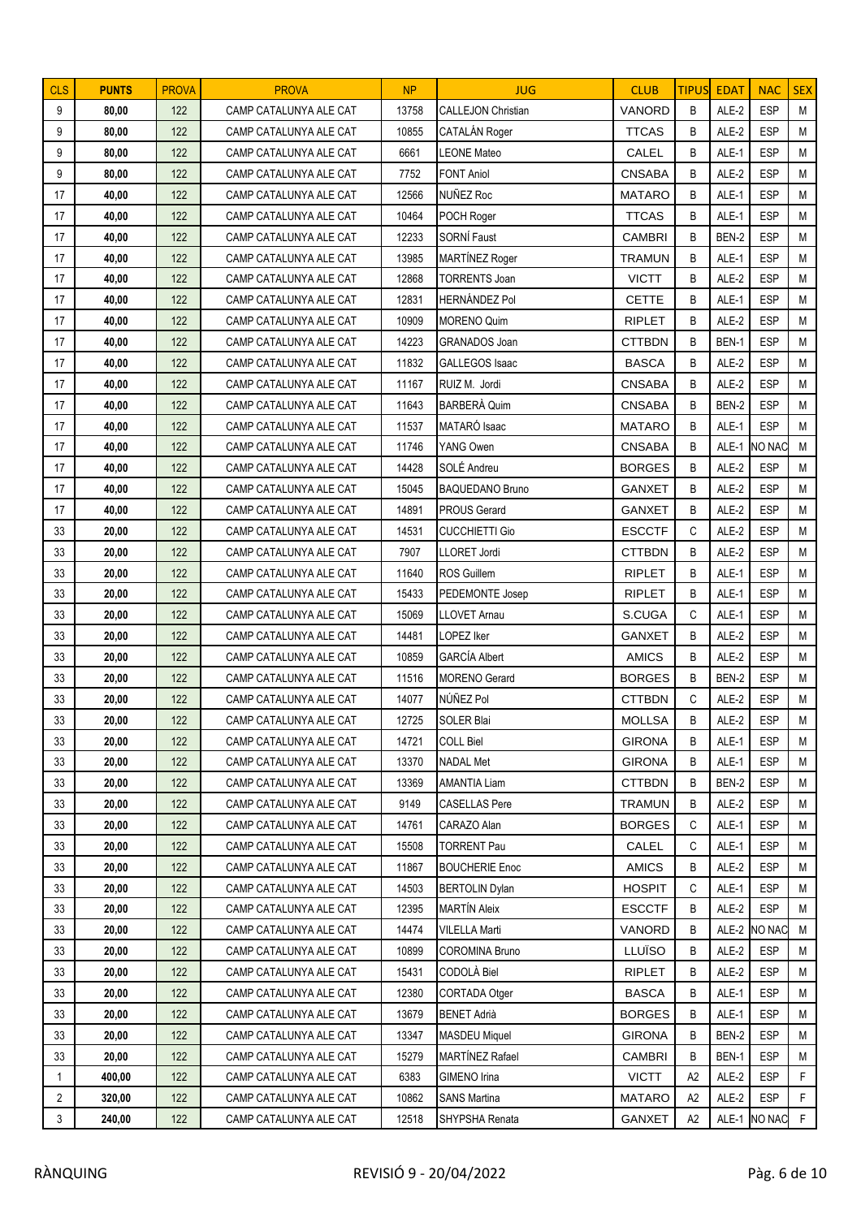| <b>CLS</b>     | <b>PUNTS</b> | <b>PROVA</b> | <b>PROVA</b>           | <b>NP</b> | <b>JUG</b>                | <b>CLUB</b>   | <b>TIPUS</b> | <b>EDAT</b> | <b>NAC</b>   | <b>SEX</b>  |
|----------------|--------------|--------------|------------------------|-----------|---------------------------|---------------|--------------|-------------|--------------|-------------|
| 9              | 80,00        | 122          | CAMP CATALUNYA ALE CAT | 13758     | <b>CALLEJON Christian</b> | VANORD        | B            | ALE-2       | <b>ESP</b>   | M           |
| 9              | 80,00        | 122          | CAMP CATALUNYA ALE CAT | 10855     | CATALÁN Roger             | <b>TTCAS</b>  | B            | ALE-2       | <b>ESP</b>   | M           |
| 9              | 80,00        | 122          | CAMP CATALUNYA ALE CAT | 6661      | <b>LEONE Mateo</b>        | CALEL         | B            | ALE-1       | <b>ESP</b>   | M           |
| 9              | 80,00        | 122          | CAMP CATALUNYA ALE CAT | 7752      | <b>FONT Aniol</b>         | <b>CNSABA</b> | B            | ALE-2       | <b>ESP</b>   | M           |
| 17             | 40,00        | 122          | CAMP CATALUNYA ALE CAT | 12566     | NUÑEZ Roc                 | <b>MATARO</b> | B            | ALE-1       | <b>ESP</b>   | M           |
| 17             | 40,00        | 122          | CAMP CATALUNYA ALE CAT | 10464     | POCH Roger                | <b>TTCAS</b>  | B            | ALE-1       | <b>ESP</b>   | M           |
| 17             | 40,00        | 122          | CAMP CATALUNYA ALE CAT | 12233     | SORNÍ Faust               | <b>CAMBRI</b> | B            | BEN-2       | <b>ESP</b>   | M           |
| 17             | 40,00        | 122          | CAMP CATALUNYA ALE CAT | 13985     | MARTÍNEZ Roger            | <b>TRAMUN</b> | B            | ALE-1       | <b>ESP</b>   | M           |
| 17             | 40,00        | 122          | CAMP CATALUNYA ALE CAT | 12868     | <b>TORRENTS Joan</b>      | <b>VICTT</b>  | B            | ALE-2       | <b>ESP</b>   | M           |
| 17             | 40,00        | 122          | CAMP CATALUNYA ALE CAT | 12831     | <b>HERNÁNDEZ Pol</b>      | <b>CETTE</b>  | B            | ALE-1       | <b>ESP</b>   | M           |
| 17             | 40,00        | 122          | CAMP CATALUNYA ALE CAT | 10909     | <b>MORENO Quim</b>        | <b>RIPLET</b> | B            | ALE-2       | <b>ESP</b>   | M           |
| 17             | 40,00        | 122          | CAMP CATALUNYA ALE CAT | 14223     | <b>GRANADOS Joan</b>      | <b>CTTBDN</b> | B            | BEN-1       | <b>ESP</b>   | M           |
| 17             | 40,00        | 122          | CAMP CATALUNYA ALE CAT | 11832     | <b>GALLEGOS Isaac</b>     | <b>BASCA</b>  | B            | ALE-2       | <b>ESP</b>   | M           |
| 17             | 40,00        | 122          | CAMP CATALUNYA ALE CAT | 11167     | RUIZ M. Jordi             | <b>CNSABA</b> | B            | ALE-2       | <b>ESP</b>   | M           |
| 17             | 40,00        | 122          | CAMP CATALUNYA ALE CAT | 11643     | <b>BARBERÀ Quim</b>       | <b>CNSABA</b> | B            | BEN-2       | <b>ESP</b>   | M           |
| 17             | 40,00        | 122          | CAMP CATALUNYA ALE CAT | 11537     | MATARÓ Isaac              | <b>MATARO</b> | B            | ALE-1       | <b>ESP</b>   | M           |
| 17             | 40,00        | 122          | CAMP CATALUNYA ALE CAT | 11746     | YANG Owen                 | <b>CNSABA</b> | B            | ALE-1       | NO NAC       | M           |
| 17             | 40,00        | 122          | CAMP CATALUNYA ALE CAT | 14428     | SOLÉ Andreu               | <b>BORGES</b> | B            | ALE-2       | <b>ESP</b>   | M           |
| 17             | 40,00        | 122          | CAMP CATALUNYA ALE CAT | 15045     | <b>BAQUEDANO Bruno</b>    | <b>GANXET</b> | B            | ALE-2       | <b>ESP</b>   | M           |
| 17             | 40,00        | 122          | CAMP CATALUNYA ALE CAT | 14891     | <b>PROUS Gerard</b>       | <b>GANXET</b> | B            | ALE-2       | <b>ESP</b>   | M           |
| 33             | 20,00        | 122          | CAMP CATALUNYA ALE CAT | 14531     | <b>CUCCHIETTI Gio</b>     | <b>ESCCTF</b> | C            | ALE-2       | <b>ESP</b>   | M           |
| 33             | 20,00        | 122          | CAMP CATALUNYA ALE CAT | 7907      | <b>LLORET Jordi</b>       | <b>CTTBDN</b> | B            | ALE-2       | <b>ESP</b>   | M           |
| 33             | 20,00        | 122          | CAMP CATALUNYA ALE CAT | 11640     | <b>ROS Guillem</b>        | <b>RIPLET</b> | B            | ALE-1       | <b>ESP</b>   | M           |
| 33             | 20,00        | 122          | CAMP CATALUNYA ALE CAT | 15433     | PEDEMONTE Josep           | <b>RIPLET</b> | B            | ALE-1       | <b>ESP</b>   | M           |
| 33             | 20,00        | 122          | CAMP CATALUNYA ALE CAT | 15069     | <b>LLOVET Arnau</b>       | S.CUGA        | C            | ALE-1       | <b>ESP</b>   | M           |
| 33             | 20,00        | 122          | CAMP CATALUNYA ALE CAT | 14481     | <b>LOPEZ Iker</b>         | <b>GANXET</b> | B            | ALE-2       | <b>ESP</b>   | M           |
| 33             | 20,00        | 122          | CAMP CATALUNYA ALE CAT | 10859     | <b>GARCÍA Albert</b>      | <b>AMICS</b>  | B            | ALE-2       | <b>ESP</b>   | M           |
| 33             | 20,00        | 122          | CAMP CATALUNYA ALE CAT | 11516     | <b>MORENO</b> Gerard      | <b>BORGES</b> | B            | BEN-2       | <b>ESP</b>   | M           |
| 33             | 20,00        | 122          | CAMP CATALUNYA ALE CAT | 14077     | NÚÑEZ Pol                 | <b>CTTBDN</b> | C            | ALE-2       | <b>ESP</b>   | M           |
| 33             | 20,00        | 122          | CAMP CATALUNYA ALE CAT | 12725     | SOLER Blai                | <b>MOLLSA</b> | B            | ALE-2       | <b>ESP</b>   | M           |
| 33             | 20,00        | 122          | CAMP CATALUNYA ALE CAT | 14721     | <b>COLL Biel</b>          | <b>GIRONA</b> | B            | ALE-1       | <b>ESP</b>   | M           |
| 33             | 20,00        | 122          | CAMP CATALUNYA ALE CAT | 13370     | <b>NADAL Met</b>          | <b>GIRONA</b> | B            | ALE-1       | <b>ESP</b>   | M           |
| 33             | 20,00        | 122          | CAMP CATALUNYA ALE CAT | 13369     | <b>AMANTIA Liam</b>       | <b>CTTBDN</b> | B            | BEN-2       | <b>ESP</b>   | M           |
| 33             | 20,00        | 122          | CAMP CATALUNYA ALE CAT | 9149      | <b>CASELLAS Pere</b>      | <b>TRAMUN</b> | B            | ALE-2       | <b>ESP</b>   | M           |
| 33             | 20,00        | 122          | CAMP CATALUNYA ALE CAT | 14761     | CARAZO Alan               | <b>BORGES</b> | С            | ALE-1       | <b>ESP</b>   | M           |
| 33             | 20,00        | 122          | CAMP CATALUNYA ALE CAT | 15508     | <b>TORRENT Pau</b>        | CALEL         | C            | ALE-1       | <b>ESP</b>   | M           |
| 33             | 20,00        | 122          | CAMP CATALUNYA ALE CAT | 11867     | <b>BOUCHERIE Enoc</b>     | <b>AMICS</b>  | В            | ALE-2       | <b>ESP</b>   | М           |
| 33             | 20,00        | 122          | CAMP CATALUNYA ALE CAT | 14503     | <b>BERTOLIN Dylan</b>     | <b>HOSPIT</b> | C            | ALE-1       | <b>ESP</b>   | M           |
| 33             | 20,00        | 122          | CAMP CATALUNYA ALE CAT | 12395     | <b>MARTÍN Aleix</b>       | <b>ESCCTF</b> | В            | ALE-2       | <b>ESP</b>   | M           |
| 33             | 20,00        | 122          | CAMP CATALUNYA ALE CAT | 14474     | VILELLA Marti             | VANORD        | В            |             | ALE-2 NO NAC | M           |
| 33             | 20,00        | 122          | CAMP CATALUNYA ALE CAT | 10899     | <b>COROMINA Bruno</b>     | LLUÏSO        | B            | ALE-2       | <b>ESP</b>   | M           |
| 33             | 20,00        | 122          | CAMP CATALUNYA ALE CAT | 15431     | CODOLÀ Biel               | <b>RIPLET</b> | В            | ALE-2       | <b>ESP</b>   | М           |
| 33             | 20,00        | 122          | CAMP CATALUNYA ALE CAT | 12380     | <b>CORTADA Otger</b>      | <b>BASCA</b>  | B            | ALE-1       | <b>ESP</b>   | М           |
| 33             | 20,00        | 122          | CAMP CATALUNYA ALE CAT | 13679     | <b>BENET Adrià</b>        | <b>BORGES</b> | В            | ALE-1       | <b>ESP</b>   | М           |
| 33             | 20,00        | 122          | CAMP CATALUNYA ALE CAT | 13347     | <b>MASDEU Miquel</b>      | <b>GIRONA</b> | B            | BEN-2       | <b>ESP</b>   | M           |
| 33             | 20,00        | 122          | CAMP CATALUNYA ALE CAT | 15279     | <b>MARTÍNEZ Rafael</b>    | <b>CAMBRI</b> | B            | BEN-1       | <b>ESP</b>   | M           |
| 1              | 400,00       | 122          | CAMP CATALUNYA ALE CAT | 6383      | GIMENO Irina              | <b>VICTT</b>  | A2           | ALE-2       | ESP          | F           |
| $\overline{2}$ | 320,00       | 122          | CAMP CATALUNYA ALE CAT | 10862     | <b>SANS Martina</b>       | <b>MATARO</b> | A2           | ALE-2       | <b>ESP</b>   | F           |
| 3              | 240,00       | 122          | CAMP CATALUNYA ALE CAT | 12518     | SHYPSHA Renata            | GANXET        | A2           |             | ALE-1 NO NAC | $\mathsf F$ |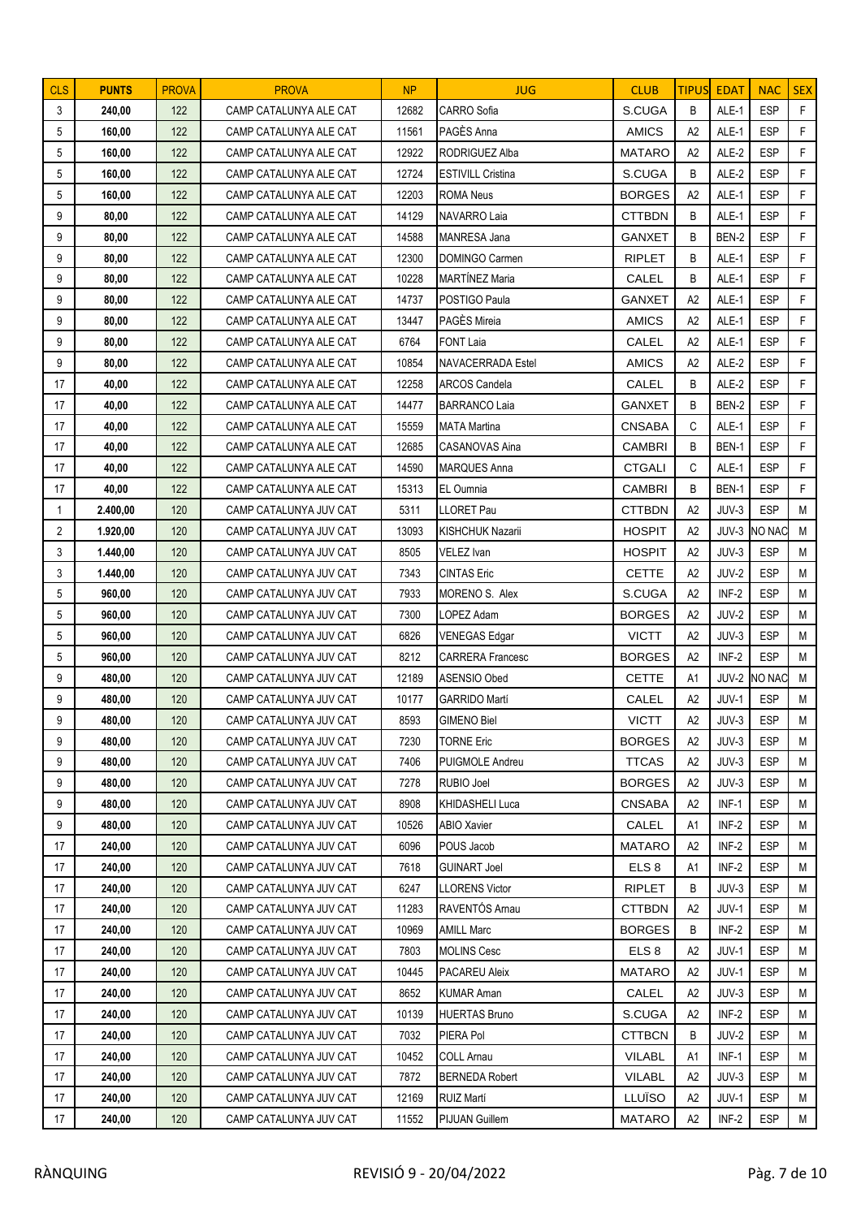| <b>CLS</b>     | <b>PUNTS</b> | <b>PROVA</b> | <b>PROVA</b>           | <b>NP</b> | <b>JUG</b>                                 | <b>CLUB</b>             | <b>TIPUS</b>   | <b>EDAT</b>      | <b>NAC</b>        | <b>SEX</b>   |
|----------------|--------------|--------------|------------------------|-----------|--------------------------------------------|-------------------------|----------------|------------------|-------------------|--------------|
| 3              | 240,00       | 122          | CAMP CATALUNYA ALE CAT | 12682     | CARRO Sofia                                | S.CUGA                  | B              | ALE-1            | <b>ESP</b>        | F            |
| 5              | 160,00       | 122          | CAMP CATALUNYA ALE CAT | 11561     | PAGÈS Anna                                 | <b>AMICS</b>            | A2             | ALE-1            | <b>ESP</b>        | F            |
| 5              | 160,00       | 122          | CAMP CATALUNYA ALE CAT | 12922     | RODRIGUEZ Alba                             | <b>MATARO</b>           | A2             | ALE-2            | <b>ESP</b>        | F            |
| 5              | 160,00       | 122          | CAMP CATALUNYA ALE CAT | 12724     | <b>ESTIVILL Cristina</b>                   | S.CUGA                  | B              | ALE-2            | <b>ESP</b>        | F            |
| 5              | 160,00       | 122          | CAMP CATALUNYA ALE CAT | 12203     | <b>ROMA Neus</b>                           | <b>BORGES</b>           | A2             | ALE-1            | <b>ESP</b>        | $\mathsf F$  |
| 9              | 80,00        | 122          | CAMP CATALUNYA ALE CAT | 14129     | NAVARRO Laia                               | <b>CTTBDN</b>           | B              | ALE-1            | <b>ESP</b>        | F            |
| 9              | 80,00        | 122          | CAMP CATALUNYA ALE CAT | 14588     | MANRESA Jana                               | <b>GANXET</b>           | B              | BEN-2            | <b>ESP</b>        | F            |
| 9              | 80,00        | 122          | CAMP CATALUNYA ALE CAT | 12300     | DOMINGO Carmen                             | <b>RIPLET</b>           | B              | ALE-1            | <b>ESP</b>        | F            |
| 9              | 80,00        | 122          | CAMP CATALUNYA ALE CAT | 10228     | <b>MARTÍNEZ Maria</b>                      | CALEL                   | B              | ALE-1            | <b>ESP</b>        | F            |
| 9              | 80,00        | 122          | CAMP CATALUNYA ALE CAT | 14737     | POSTIGO Paula                              | <b>GANXET</b>           | A2             | ALE-1            | <b>ESP</b>        | F            |
| 9              | 80,00        | 122          | CAMP CATALUNYA ALE CAT | 13447     | PAGÈS Mireia                               | <b>AMICS</b>            | A2             | ALE-1            | <b>ESP</b>        | F            |
| 9              | 80,00        | 122          | CAMP CATALUNYA ALE CAT | 6764      | <b>FONT Laia</b>                           | CALEL                   | A2             | ALE-1            | <b>ESP</b>        | F            |
| 9              | 80,00        | 122          | CAMP CATALUNYA ALE CAT | 10854     | <b>NAVACERRADA Estel</b>                   | <b>AMICS</b>            | A2             | ALE-2            | <b>ESP</b>        | F            |
| 17             | 40,00        | 122          | CAMP CATALUNYA ALE CAT | 12258     | <b>ARCOS Candela</b>                       | CALEL                   | B              | ALE-2            | <b>ESP</b>        | F            |
| 17             | 40,00        | 122          | CAMP CATALUNYA ALE CAT | 14477     | <b>BARRANCO Laia</b>                       | <b>GANXET</b>           | B              | BEN-2            | <b>ESP</b>        | F            |
| 17             | 40,00        | 122          | CAMP CATALUNYA ALE CAT | 15559     | MATA Martina                               | <b>CNSABA</b>           | С              | ALE-1            | <b>ESP</b>        | F            |
| 17             | 40,00        | 122          | CAMP CATALUNYA ALE CAT | 12685     | <b>CASANOVAS Aina</b>                      | <b>CAMBRI</b>           | B              | BEN-1            | <b>ESP</b>        | F            |
| 17             | 40,00        | 122          | CAMP CATALUNYA ALE CAT | 14590     | MARQUES Anna                               | <b>CTGALI</b>           | C              | ALE-1            | <b>ESP</b>        | F            |
| 17             | 40,00        | 122          | CAMP CATALUNYA ALE CAT | 15313     | <b>EL Oumnia</b>                           | <b>CAMBRI</b>           | B              | BEN-1            | <b>ESP</b>        | F            |
| 1              | 2.400,00     | 120          | CAMP CATALUNYA JUV CAT | 5311      | <b>LLORET Pau</b>                          | <b>CTTBDN</b>           | A2             | JUV-3            | <b>ESP</b>        | M            |
| $\overline{2}$ | 1.920,00     | 120          | CAMP CATALUNYA JUV CAT | 13093     | KISHCHUK Nazarii                           | <b>HOSPIT</b>           | A2             | JUV-3            | NO NAC            | M            |
| 3              | 1.440,00     | 120          | CAMP CATALUNYA JUV CAT | 8505      | <b>VELEZ Ivan</b>                          | <b>HOSPIT</b>           | A2             | JUV-3            | <b>ESP</b>        | M            |
| 3              | 1.440,00     | 120          | CAMP CATALUNYA JUV CAT | 7343      | <b>CINTAS Eric</b>                         | <b>CETTE</b>            | A2             | JUV-2            | <b>ESP</b>        | M            |
| 5              | 960,00       | 120          | CAMP CATALUNYA JUV CAT | 7933      | MORENO S. Alex                             | S.CUGA                  | A2             | INF-2            | <b>ESP</b>        | M            |
| 5              | 960,00       | 120          | CAMP CATALUNYA JUV CAT | 7300      | LOPEZ Adam                                 | <b>BORGES</b>           | A2             | JUV-2            | <b>ESP</b>        | М            |
| 5              | 960,00       | 120          | CAMP CATALUNYA JUV CAT | 6826      | <b>VENEGAS Edgar</b>                       | <b>VICTT</b>            | A2             | JUV-3            | <b>ESP</b>        | M            |
| 5              | 960,00       | 120          | CAMP CATALUNYA JUV CAT | 8212      | <b>CARRERA Francesc</b>                    | <b>BORGES</b>           | A2             | INF-2            | <b>ESP</b>        | M            |
| 9              | 480,00       | 120          | CAMP CATALUNYA JUV CAT | 12189     | ASENSIO Obed                               | <b>CETTE</b>            | A1             | JUV-2            | NO NAC            | M            |
| 9              | 480,00       | 120          | CAMP CATALUNYA JUV CAT | 10177     | <b>GARRIDO Martí</b>                       | CALEL                   | A2             | JUV-1            | <b>ESP</b>        | $\mathsf{M}$ |
| 9              | 480,00       | 120          | CAMP CATALUNYA JUV CAT | 8593      | <b>GIMENO Biel</b>                         | <b>VICTT</b>            | A <sub>2</sub> | JUV-3            | ESP               | ${\sf M}$    |
| 9              | 480,00       | 120          | CAMP CATALUNYA JUV CAT | 7230      | <b>TORNE Eric</b>                          | <b>BORGES</b>           | A2             | JUV-3            | <b>ESP</b>        | M            |
| 9              | 480,00       | 120          | CAMP CATALUNYA JUV CAT | 7406      | PUIGMOLE Andreu                            | <b>TTCAS</b>            | A2             | JUV-3            | <b>ESP</b>        | M            |
| 9              | 480,00       | 120          | CAMP CATALUNYA JUV CAT | 7278      | <b>RUBIO Joel</b>                          | <b>BORGES</b>           | A2             | JUV-3            | <b>ESP</b>        | M            |
| 9              | 480,00       | 120          | CAMP CATALUNYA JUV CAT | 8908      | KHIDASHELI Luca                            | <b>CNSABA</b>           | A2             | $INF-1$          | <b>ESP</b>        | M            |
| 9              | 480,00       | 120          | CAMP CATALUNYA JUV CAT | 10526     | <b>ABIO Xavier</b>                         | CALEL                   | A1             | INF-2            | <b>ESP</b>        | M            |
| 17             | 240,00       | 120          | CAMP CATALUNYA JUV CAT | 6096      | POUS Jacob                                 | <b>MATARO</b>           | A2             | INF-2            | <b>ESP</b>        | M            |
| 17             | 240,00       | 120          | CAMP CATALUNYA JUV CAT | 7618      | <b>GUINART Joel</b>                        | ELS <sub>8</sub>        | A1             | INF-2            | <b>ESP</b>        | М            |
| 17             | 240,00       | 120          | CAMP CATALUNYA JUV CAT | 6247      | <b>LLORENS Victor</b><br>RAVENTÓS Arnau    | <b>RIPLET</b>           | B              | JUV-3            | <b>ESP</b>        | M            |
| 17             | 240,00       | 120          | CAMP CATALUNYA JUV CAT | 11283     |                                            | <b>CTTBDN</b>           | A2             | JUV-1            | <b>ESP</b>        | M            |
| 17             | 240,00       | 120          | CAMP CATALUNYA JUV CAT | 10969     | <b>AMILL Marc</b>                          | <b>BORGES</b>           | B              | INF-2            | <b>ESP</b>        | М            |
| 17             | 240,00       | 120          | CAMP CATALUNYA JUV CAT | 7803      | MOLINS Cesc                                | ELS <sub>8</sub>        | A2             | JUV-1            | <b>ESP</b>        | М            |
| 17             | 240,00       | 120          | CAMP CATALUNYA JUV CAT | 10445     | PACAREU Aleix                              | <b>MATARO</b>           | A2             | JUV-1            | <b>ESP</b>        | M            |
| 17             | 240,00       | 120          | CAMP CATALUNYA JUV CAT | 8652      | KUMAR Aman                                 | CALEL                   | A2             | JUV-3            | <b>ESP</b>        | M            |
| 17             | 240,00       | 120          | CAMP CATALUNYA JUV CAT | 10139     | <b>HUERTAS Bruno</b>                       | S.CUGA                  | A2             | INF-2            | <b>ESP</b>        | М            |
| 17             | 240,00       | 120          | CAMP CATALUNYA JUV CAT | 7032      | PIERA Pol                                  | <b>CTTBCN</b>           | B              | JUV-2            | <b>ESP</b>        | M            |
| 17             | 240,00       | 120          | CAMP CATALUNYA JUV CAT | 10452     | <b>COLL Arnau</b>                          | <b>VILABL</b>           | A1             | $INF-1$<br>JUV-3 | <b>ESP</b>        | M            |
| 17             | 240,00       | 120<br>120   | CAMP CATALUNYA JUV CAT | 7872      | <b>BERNEDA Robert</b><br><b>RUIZ Martí</b> | <b>VILABL</b><br>LLUÏSO | A2             |                  | ESP<br><b>ESP</b> | M<br>M       |
| 17             | 240,00       |              | CAMP CATALUNYA JUV CAT | 12169     |                                            |                         | A2             | JUV-1            |                   |              |
| 17             | 240,00       | 120          | CAMP CATALUNYA JUV CAT | 11552     | PIJUAN Guillem                             | <b>MATARO</b>           | A2             | INF-2            | <b>ESP</b>        | M            |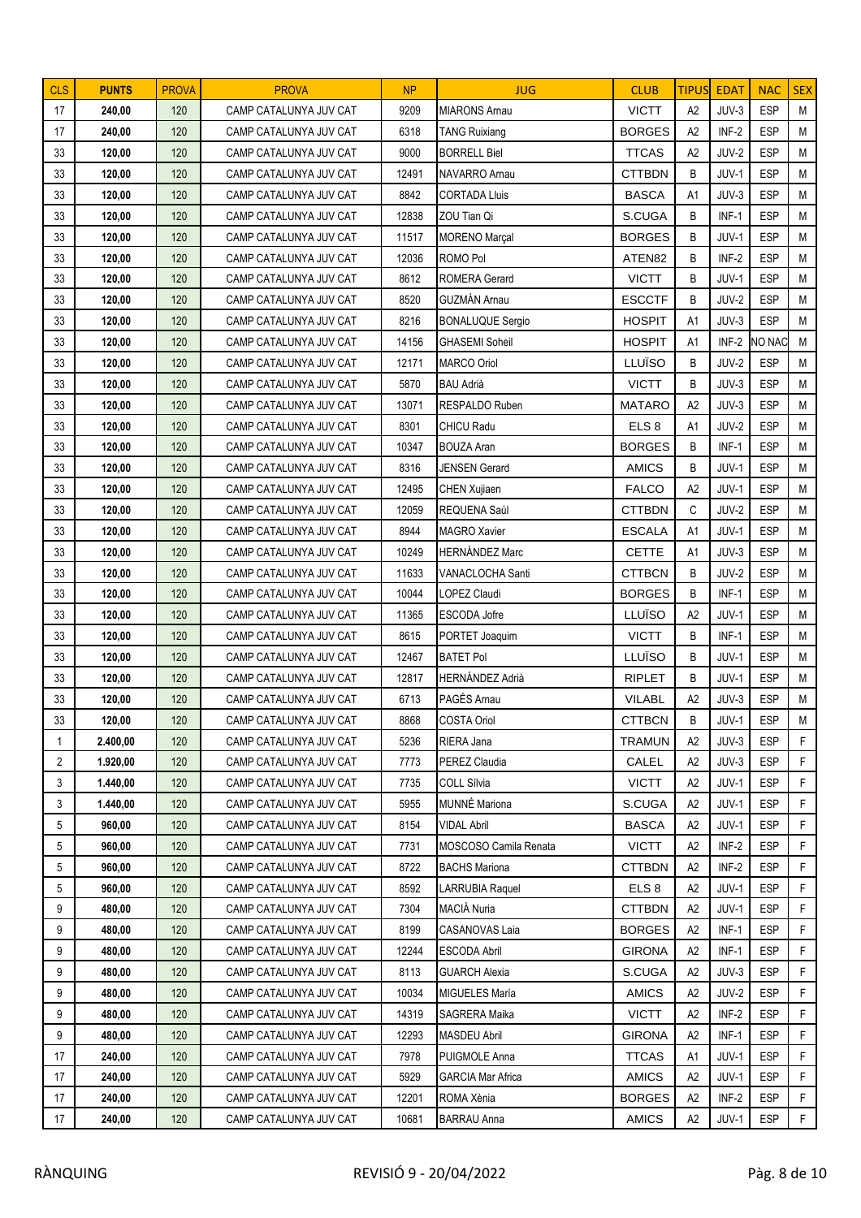| <b>CLS</b>     | <b>PUNTS</b> | <b>PROVA</b> | <b>PROVA</b>           | NP    | <b>JUG</b>               | <b>CLUB</b>      | <b>TIPUS</b>   | <b>EDAT</b> | <b>NAC</b> | <b>SEX</b> |
|----------------|--------------|--------------|------------------------|-------|--------------------------|------------------|----------------|-------------|------------|------------|
| 17             | 240,00       | 120          | CAMP CATALUNYA JUV CAT | 9209  | <b>MIARONS Amau</b>      | <b>VICTT</b>     | A2             | JUV-3       | <b>ESP</b> | M          |
| 17             | 240,00       | 120          | CAMP CATALUNYA JUV CAT | 6318  | <b>TANG Ruixiang</b>     | <b>BORGES</b>    | A2             | INF-2       | <b>ESP</b> | M          |
| 33             | 120,00       | 120          | CAMP CATALUNYA JUV CAT | 9000  | <b>BORRELL Biel</b>      | <b>TTCAS</b>     | A2             | JUV-2       | <b>ESP</b> | M          |
| 33             | 120,00       | 120          | CAMP CATALUNYA JUV CAT | 12491 | NAVARRO Arnau            | <b>CTTBDN</b>    | B              | JUV-1       | <b>ESP</b> | M          |
| 33             | 120,00       | 120          | CAMP CATALUNYA JUV CAT | 8842  | <b>CORTADA Lluis</b>     | <b>BASCA</b>     | A1             | JUV-3       | <b>ESP</b> | M          |
| 33             | 120,00       | 120          | CAMP CATALUNYA JUV CAT | 12838 | ZOU Tian Qi              | S.CUGA           | B              | $INF-1$     | <b>ESP</b> | М          |
| 33             | 120,00       | 120          | CAMP CATALUNYA JUV CAT | 11517 | <b>MORENO Marçal</b>     | <b>BORGES</b>    | B              | JUV-1       | <b>ESP</b> | M          |
| 33             | 120,00       | 120          | CAMP CATALUNYA JUV CAT | 12036 | ROMO Pol                 | ATEN82           | B              | INF-2       | <b>ESP</b> | M          |
| 33             | 120,00       | 120          | CAMP CATALUNYA JUV CAT | 8612  | ROMERA Gerard            | <b>VICTT</b>     | B              | JUV-1       | <b>ESP</b> | M          |
| 33             | 120,00       | 120          | CAMP CATALUNYA JUV CAT | 8520  | <b>GUZMÁN Arnau</b>      | <b>ESCCTF</b>    | B              | JUV-2       | <b>ESP</b> | M          |
| 33             | 120,00       | 120          | CAMP CATALUNYA JUV CAT | 8216  | <b>BONALUQUE Sergio</b>  | <b>HOSPIT</b>    | A1             | JUV-3       | <b>ESP</b> | M          |
| 33             | 120,00       | 120          | CAMP CATALUNYA JUV CAT | 14156 | <b>GHASEMI Soheil</b>    | <b>HOSPIT</b>    | A1             | INF-2       | NO NAC     | M          |
| 33             | 120,00       | 120          | CAMP CATALUNYA JUV CAT | 12171 | <b>MARCO Oriol</b>       | LLUÏSO           | B              | JUV-2       | <b>ESP</b> | M          |
| 33             | 120,00       | 120          | CAMP CATALUNYA JUV CAT | 5870  | <b>BAU Adrià</b>         | <b>VICTT</b>     | B              | JUV-3       | <b>ESP</b> | M          |
| 33             | 120,00       | 120          | CAMP CATALUNYA JUV CAT | 13071 | RESPALDO Ruben           | <b>MATARO</b>    | A2             | JUV-3       | <b>ESP</b> | M          |
| 33             | 120,00       | 120          | CAMP CATALUNYA JUV CAT | 8301  | <b>CHICU Radu</b>        | ELS <sub>8</sub> | A1             | JUV-2       | <b>ESP</b> | M          |
| 33             | 120,00       | 120          | CAMP CATALUNYA JUV CAT | 10347 | <b>BOUZA Aran</b>        | <b>BORGES</b>    | B              | $INF-1$     | <b>ESP</b> | M          |
| 33             | 120,00       | 120          | CAMP CATALUNYA JUV CAT | 8316  | <b>JENSEN Gerard</b>     | <b>AMICS</b>     | B              | JUV-1       | <b>ESP</b> | M          |
| 33             | 120,00       | 120          | CAMP CATALUNYA JUV CAT | 12495 | CHEN Xujiaen             | <b>FALCO</b>     | A2             | JUV-1       | <b>ESP</b> | M          |
| 33             | 120,00       | 120          | CAMP CATALUNYA JUV CAT | 12059 | REQUENA Saúl             | <b>CTTBDN</b>    | C              | JUV-2       | <b>ESP</b> | M          |
| 33             | 120,00       | 120          | CAMP CATALUNYA JUV CAT | 8944  | <b>MAGRO Xavier</b>      | <b>ESCALA</b>    | A <sub>1</sub> | JUV-1       | <b>ESP</b> | M          |
| 33             | 120,00       | 120          | CAMP CATALUNYA JUV CAT | 10249 | <b>HERNÁNDEZ Marc</b>    | <b>CETTE</b>     | A1             | JUV-3       | <b>ESP</b> | M          |
| 33             | 120,00       | 120          | CAMP CATALUNYA JUV CAT | 11633 | VANACLOCHA Santi         | <b>CTTBCN</b>    | B              | JUV-2       | <b>ESP</b> | M          |
| 33             | 120,00       | 120          | CAMP CATALUNYA JUV CAT | 10044 | <b>LOPEZ Claudi</b>      | <b>BORGES</b>    | B              | $INF-1$     | <b>ESP</b> | M          |
| 33             | 120,00       | 120          | CAMP CATALUNYA JUV CAT | 11365 | ESCODA Jofre             | LLUÏSO           | A2             | JUV-1       | <b>ESP</b> | M          |
| 33             | 120,00       | 120          | CAMP CATALUNYA JUV CAT | 8615  | PORTET Joaquim           | <b>VICTT</b>     | B              | $INF-1$     | <b>ESP</b> | M          |
| 33             | 120,00       | 120          | CAMP CATALUNYA JUV CAT | 12467 | <b>BATET Pol</b>         | LLUÏSO           | B              | JUV-1       | <b>ESP</b> | M          |
| 33             | 120,00       | 120          | CAMP CATALUNYA JUV CAT | 12817 | <b>HERNÁNDEZ Adrià</b>   | <b>RIPLET</b>    | B              | JUV-1       | <b>ESP</b> | M          |
| 33             | 120,00       | 120          | CAMP CATALUNYA JUV CAT | 6713  | PAGÉS Arnau              | <b>VILABL</b>    | A2             | JUV-3       | <b>ESP</b> | M          |
| 33             | 120,00       | 120          | CAMP CATALUNYA JUV CAT | 8868  | <b>COSTA Oriol</b>       | <b>CTTBCN</b>    | B              | JUV-1       | <b>ESP</b> | ${\sf M}$  |
| $\mathbf{1}$   | 2.400.00     | 120          | CAMP CATALUNYA JUV CAT | 5236  | RIERA Jana               | <b>TRAMUN</b>    | A2             | JUV-3       | <b>ESP</b> | F.         |
| $\overline{2}$ | 1.920,00     | 120          | CAMP CATALUNYA JUV CAT | 7773  | PEREZ Claudia            | CALEL            | A2             | JUV-3       | <b>ESP</b> | F          |
| 3              | 1.440,00     | 120          | CAMP CATALUNYA JUV CAT | 7735  | <b>COLL Sílvia</b>       | <b>VICTT</b>     | A2             | JUV-1       | <b>ESP</b> | F          |
| 3              | 1.440.00     | 120          | CAMP CATALUNYA JUV CAT | 5955  | MUNNÉ Mariona            | S.CUGA           | A2             | JUV-1       | <b>ESP</b> | F          |
| 5              | 960,00       | 120          | CAMP CATALUNYA JUV CAT | 8154  | <b>VIDAL Abril</b>       | <b>BASCA</b>     | A2             | JUV-1       | <b>ESP</b> | F          |
| 5              | 960,00       | 120          | CAMP CATALUNYA JUV CAT | 7731  | MOSCOSO Camila Renata    | <b>VICTT</b>     | A2             | INF-2       | <b>ESP</b> | F          |
| 5              | 960,00       | 120          | CAMP CATALUNYA JUV CAT | 8722  | <b>BACHS Mariona</b>     | <b>CTTBDN</b>    | A2             | INF-2       | <b>ESP</b> | F          |
| 5              | 960,00       | 120          | CAMP CATALUNYA JUV CAT | 8592  | LARRUBIA Raquel          | ELS <sub>8</sub> | A2             | JUV-1       | <b>ESP</b> | F          |
| 9              | 480,00       | 120          | CAMP CATALUNYA JUV CAT | 7304  | MACIÀ Nuria              | <b>CTTBDN</b>    | A2             | JUV-1       | <b>ESP</b> | F          |
| 9              | 480,00       | 120          | CAMP CATALUNYA JUV CAT | 8199  | <b>CASANOVAS Laia</b>    | <b>BORGES</b>    | A2             | $INF-1$     | <b>ESP</b> | F          |
| 9              | 480,00       | 120          | CAMP CATALUNYA JUV CAT | 12244 | <b>ESCODA Abril</b>      | <b>GIRONA</b>    | A2             | $INF-1$     | <b>ESP</b> | F          |
| 9              | 480,00       | 120          | CAMP CATALUNYA JUV CAT | 8113  | <b>GUARCH Alexia</b>     | S.CUGA           | A2             | JUV-3       | <b>ESP</b> | F          |
| 9              | 480,00       | 120          | CAMP CATALUNYA JUV CAT | 10034 | MIGUELES María           | <b>AMICS</b>     | A2             | JUV-2       | <b>ESP</b> | F          |
| 9              | 480,00       | 120          | CAMP CATALUNYA JUV CAT | 14319 | SAGRERA Maika            | <b>VICTT</b>     | A2             | INF-2       | ESP        | F          |
| 9              | 480,00       | 120          | CAMP CATALUNYA JUV CAT | 12293 | MASDEU Abril             | <b>GIRONA</b>    | A2             | $INF-1$     | <b>ESP</b> | F          |
| 17             | 240,00       | 120          | CAMP CATALUNYA JUV CAT | 7978  | PUIGMOLE Anna            | <b>TTCAS</b>     | A1             | JUV-1       | <b>ESP</b> | F          |
| 17             | 240,00       | 120          | CAMP CATALUNYA JUV CAT | 5929  | <b>GARCIA Mar Africa</b> | <b>AMICS</b>     | A2             | JUV-1       | <b>ESP</b> | F          |
| 17             | 240,00       | 120          | CAMP CATALUNYA JUV CAT | 12201 | ROMA Xènia               | <b>BORGES</b>    | A2             | INF-2       | <b>ESP</b> | F          |
| 17             | 240,00       | 120          | CAMP CATALUNYA JUV CAT | 10681 | <b>BARRAU Anna</b>       | <b>AMICS</b>     | A2             | JUV-1       | <b>ESP</b> | F          |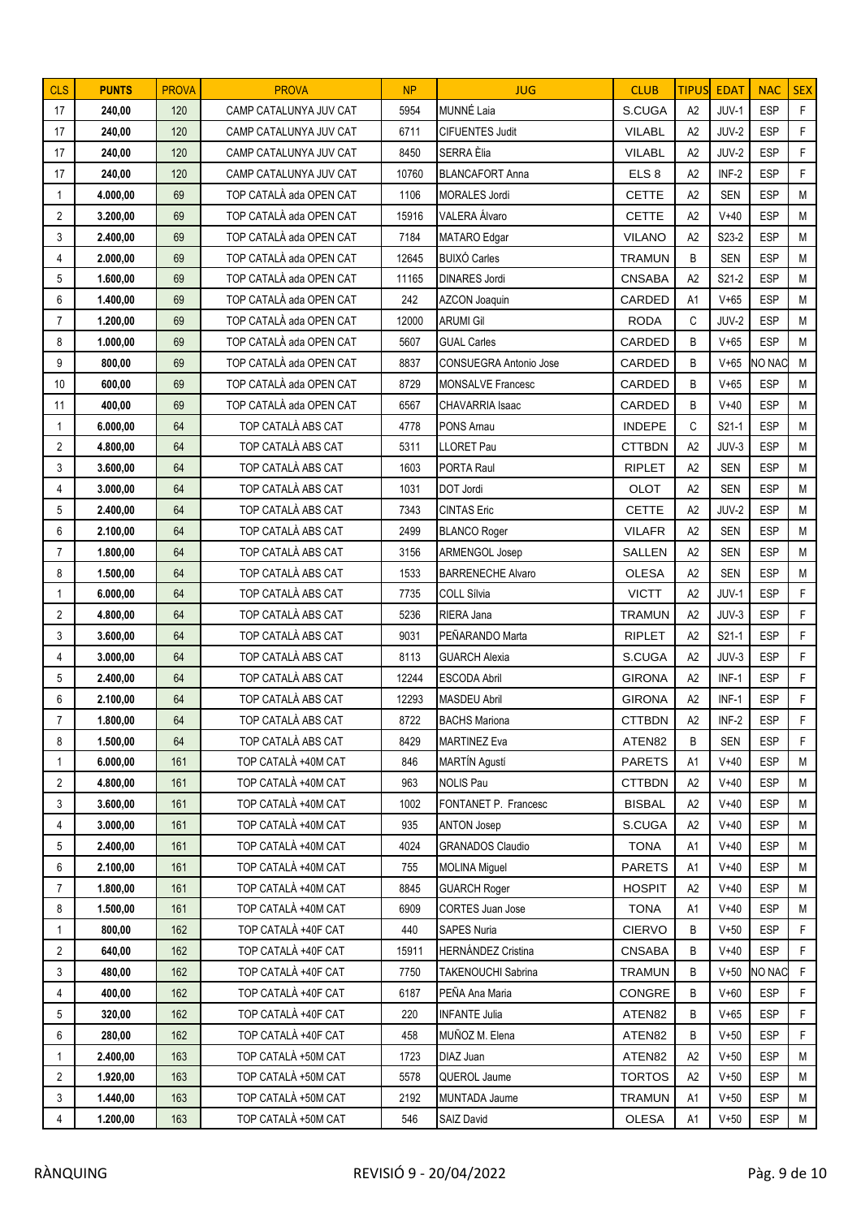| <b>CLS</b>     | <b>PUNTS</b> | <b>PROVA</b> | <b>PROVA</b>            | NP    | <b>JUG</b>                    | <b>CLUB</b>      | <b>TIPUS</b>   | <b>EDAT</b> | <b>NAC</b> | <b>SEX</b> |
|----------------|--------------|--------------|-------------------------|-------|-------------------------------|------------------|----------------|-------------|------------|------------|
| 17             | 240,00       | 120          | CAMP CATALUNYA JUV CAT  | 5954  | MUNNÉ Laia                    | S.CUGA           | A2             | JUV-1       | <b>ESP</b> | F          |
| 17             | 240,00       | 120          | CAMP CATALUNYA JUV CAT  | 6711  | <b>CIFUENTES Judit</b>        | <b>VILABL</b>    | A2             | JUV-2       | <b>ESP</b> | F.         |
| 17             | 240,00       | 120          | CAMP CATALUNYA JUV CAT  | 8450  | SERRA Èlia                    | <b>VILABL</b>    | A2             | JUV-2       | <b>ESP</b> | F          |
| 17             | 240,00       | 120          | CAMP CATALUNYA JUV CAT  | 10760 | <b>BLANCAFORT Anna</b>        | ELS <sub>8</sub> | A2             | INF-2       | <b>ESP</b> | F          |
| 1              | 4.000,00     | 69           | TOP CATALÀ ada OPEN CAT | 1106  | <b>MORALES Jordi</b>          | <b>CETTE</b>     | A2             | <b>SEN</b>  | <b>ESP</b> | M          |
| $\overline{2}$ | 3.200,00     | 69           | TOP CATALÀ ada OPEN CAT | 15916 | VALERA Álvaro                 | <b>CETTE</b>     | A2             | $V + 40$    | <b>ESP</b> | M          |
| 3              | 2.400,00     | 69           | TOP CATALÀ ada OPEN CAT | 7184  | MATARO Edgar                  | <b>VILANO</b>    | A2             | S23-2       | <b>ESP</b> | M          |
| 4              | 2.000,00     | 69           | TOP CATALÀ ada OPEN CAT | 12645 | <b>BUIXÓ Carles</b>           | <b>TRAMUN</b>    | B              | <b>SEN</b>  | <b>ESP</b> | M          |
| 5              | 1.600,00     | 69           | TOP CATALÀ ada OPEN CAT | 11165 | <b>DINARES Jordi</b>          | <b>CNSABA</b>    | A <sub>2</sub> | S21-2       | <b>ESP</b> | M          |
| 6              | 1.400,00     | 69           | TOP CATALÀ ada OPEN CAT | 242   | AZCON Joaquin                 | CARDED           | A1             | $V+65$      | <b>ESP</b> | M          |
| 7              | 1.200,00     | 69           | TOP CATALÀ ada OPEN CAT | 12000 | <b>ARUMI Gil</b>              | <b>RODA</b>      | C              | JUV-2       | <b>ESP</b> | M          |
| 8              | 1.000,00     | 69           | TOP CATALÀ ada OPEN CAT | 5607  | <b>GUAL Carles</b>            | CARDED           | B              | $V+65$      | <b>ESP</b> | M          |
| 9              | 800,00       | 69           | TOP CATALÀ ada OPEN CAT | 8837  | <b>CONSUEGRA Antonio Jose</b> | CARDED           | B              | $V+65$      | NO NAC     | M          |
| 10             | 600,00       | 69           | TOP CATALÀ ada OPEN CAT | 8729  | <b>MONSALVE Francesc</b>      | CARDED           | B              | $V + 65$    | <b>ESP</b> | M          |
| 11             | 400,00       | 69           | TOP CATALÀ ada OPEN CAT | 6567  | CHAVARRIA Isaac               | CARDED           | B              | $V+40$      | <b>ESP</b> | M          |
| -1             | 6.000,00     | 64           | TOP CATALÀ ABS CAT      | 4778  | PONS Arnau                    | <b>INDEPE</b>    | C              | S21-1       | <b>ESP</b> | M          |
| 2              | 4.800,00     | 64           | TOP CATALÀ ABS CAT      | 5311  | LLORET Pau                    | <b>CTTBDN</b>    | A2             | JUV-3       | <b>ESP</b> | M          |
| 3              | 3.600,00     | 64           | TOP CATALÀ ABS CAT      | 1603  | PORTA Raul                    | <b>RIPLET</b>    | A2             | <b>SEN</b>  | <b>ESP</b> | M          |
| 4              | 3.000,00     | 64           | TOP CATALÀ ABS CAT      | 1031  | DOT Jordi                     | <b>OLOT</b>      | A2             | <b>SEN</b>  | <b>ESP</b> | M          |
| 5              | 2.400,00     | 64           | TOP CATALÀ ABS CAT      | 7343  | <b>CINTAS Eric</b>            | <b>CETTE</b>     | A2             | JUV-2       | <b>ESP</b> | M          |
| 6              | 2.100,00     | 64           | TOP CATALÀ ABS CAT      | 2499  | <b>BLANCO Roger</b>           | <b>VILAFR</b>    | A2             | <b>SEN</b>  | <b>ESP</b> | M          |
| $\overline{7}$ | 1.800,00     | 64           | TOP CATALÀ ABS CAT      | 3156  | ARMENGOL Josep                | <b>SALLEN</b>    | A2             | <b>SEN</b>  | <b>ESP</b> | M          |
| 8              | 1.500,00     | 64           | TOP CATALÀ ABS CAT      | 1533  | <b>BARRENECHE Alvaro</b>      | <b>OLESA</b>     | A2             | <b>SEN</b>  | <b>ESP</b> | M          |
| $\mathbf{1}$   | 6.000,00     | 64           | TOP CATALÀ ABS CAT      | 7735  | <b>COLL Sílvia</b>            | <b>VICTT</b>     | A2             | JUV-1       | <b>ESP</b> | F          |
| $\overline{2}$ | 4.800,00     | 64           | TOP CATALÀ ABS CAT      | 5236  | RIERA Jana                    | <b>TRAMUN</b>    | A2             | JUV-3       | <b>ESP</b> | F          |
| 3              | 3.600,00     | 64           | TOP CATALÀ ABS CAT      | 9031  | PEÑARANDO Marta               | <b>RIPLET</b>    | A2             | S21-1       | <b>ESP</b> | F          |
| 4              | 3.000,00     | 64           | TOP CATALÀ ABS CAT      | 8113  | <b>GUARCH Alexia</b>          | S.CUGA           | A2             | JUV-3       | <b>ESP</b> | F          |
| 5              | 2.400,00     | 64           | TOP CATALÀ ABS CAT      | 12244 | ESCODA Abril                  | <b>GIRONA</b>    | A2             | $INF-1$     | <b>ESP</b> | F          |
| 6              | 2.100,00     | 64           | TOP CATALÀ ABS CAT      | 12293 | <b>MASDEU Abril</b>           | <b>GIRONA</b>    | A2             | INF-1       | <b>ESP</b> | F          |
| $\overline{7}$ | 1.800,00     | 64           | TOP CATALÀ ABS CAT      | 8722  | <b>BACHS Mariona</b>          | <b>CTTBDN</b>    | A <sub>2</sub> | $INF-2$     | ESP        | F          |
| 8              | 1.500,00     | 64           | TOP CATALÀ ABS CAT      | 8429  | <b>MARTINEZ Eva</b>           | ATEN82           | B              | <b>SEN</b>  | <b>ESP</b> | F.         |
| 1              | 6.000,00     | 161          | TOP CATALÀ +40M CAT     | 846   | MARTÍN Agustí                 | <b>PARETS</b>    | A1             | $V+40$      | <b>ESP</b> | М          |
| 2              | 4.800,00     | 161          | TOP CATALÀ +40M CAT     | 963   | <b>NOLIS Pau</b>              | <b>CTTBDN</b>    | A2             | $V+40$      | <b>ESP</b> | M          |
| 3              | 3.600.00     | 161          | TOP CATALÀ +40M CAT     | 1002  | FONTANET P. Francesc          | <b>BISBAL</b>    | A2             | $V+40$      | <b>ESP</b> | M          |
| 4              | 3.000,00     | 161          | TOP CATALÀ +40M CAT     | 935   | <b>ANTON Josep</b>            | S.CUGA           | A2             | $V+40$      | <b>ESP</b> | M          |
| 5              | 2.400,00     | 161          | TOP CATALÀ +40M CAT     | 4024  | <b>GRANADOS Claudio</b>       | <b>TONA</b>      | A1             | $V+40$      | <b>ESP</b> | M          |
| 6              | 2.100,00     | 161          | TOP CATALÀ +40M CAT     | 755   | <b>MOLINA Miguel</b>          | <b>PARETS</b>    | A1             | $V + 40$    | <b>ESP</b> | М          |
| $\overline{7}$ | 1.800,00     | 161          | TOP CATALÀ +40M CAT     | 8845  | <b>GUARCH Roger</b>           | <b>HOSPIT</b>    | A2             | $V + 40$    | <b>ESP</b> | M          |
| 8              | 1.500,00     | 161          | TOP CATALÀ +40M CAT     | 6909  | <b>CORTES Juan Jose</b>       | <b>TONA</b>      | A1             | $V+40$      | <b>ESP</b> | M          |
| $\mathbf{1}$   | 800,00       | 162          | TOP CATALÀ +40F CAT     | 440   | SAPES Nuria                   | <b>CIERVO</b>    | В              | $V+50$      | <b>ESP</b> | F.         |
| $\overline{2}$ | 640,00       | 162          | TOP CATALÀ +40F CAT     | 15911 | <b>HERNÁNDEZ Cristina</b>     | <b>CNSABA</b>    | B              | $V+40$      | <b>ESP</b> | F          |
| 3              | 480,00       | 162          | TOP CATALÀ +40F CAT     | 7750  | TAKENOUCHI Sabrina            | <b>TRAMUN</b>    | B              | $V + 50$    | NO NAC     | F          |
| 4              | 400,00       | 162          | TOP CATALÀ +40F CAT     | 6187  | PEÑA Ana Maria                | CONGRE           | B              | $V+60$      | <b>ESP</b> | F          |
| 5              | 320,00       | 162          | TOP CATALÀ +40F CAT     | 220   | <b>INFANTE Julia</b>          | ATEN82           | B              | $V+65$      | <b>ESP</b> | F          |
| 6              | 280,00       | 162          | TOP CATALÀ +40F CAT     | 458   | MUÑOZ M. Elena                | ATEN82           | B              | $V+50$      | <b>ESP</b> | F          |
| 1              | 2.400,00     | 163          | TOP CATALÀ +50M CAT     | 1723  | DIAZ Juan                     | ATEN82           | A2             | $V+50$      | <b>ESP</b> | M          |
| 2              | 1.920,00     | 163          | TOP CATALÀ +50M CAT     | 5578  | QUEROL Jaume                  | <b>TORTOS</b>    | A2             | $V+50$      | <b>ESP</b> | M          |
| 3              | 1.440,00     | 163          | TOP CATALÀ +50M CAT     | 2192  | MUNTADA Jaume                 | <b>TRAMUN</b>    | A1             | $V+50$      | <b>ESP</b> | M          |
| 4              | 1.200,00     | 163          | TOP CATALÀ +50M CAT     | 546   | SAIZ David                    | <b>OLESA</b>     | A1             | $V+50$      | <b>ESP</b> | M          |